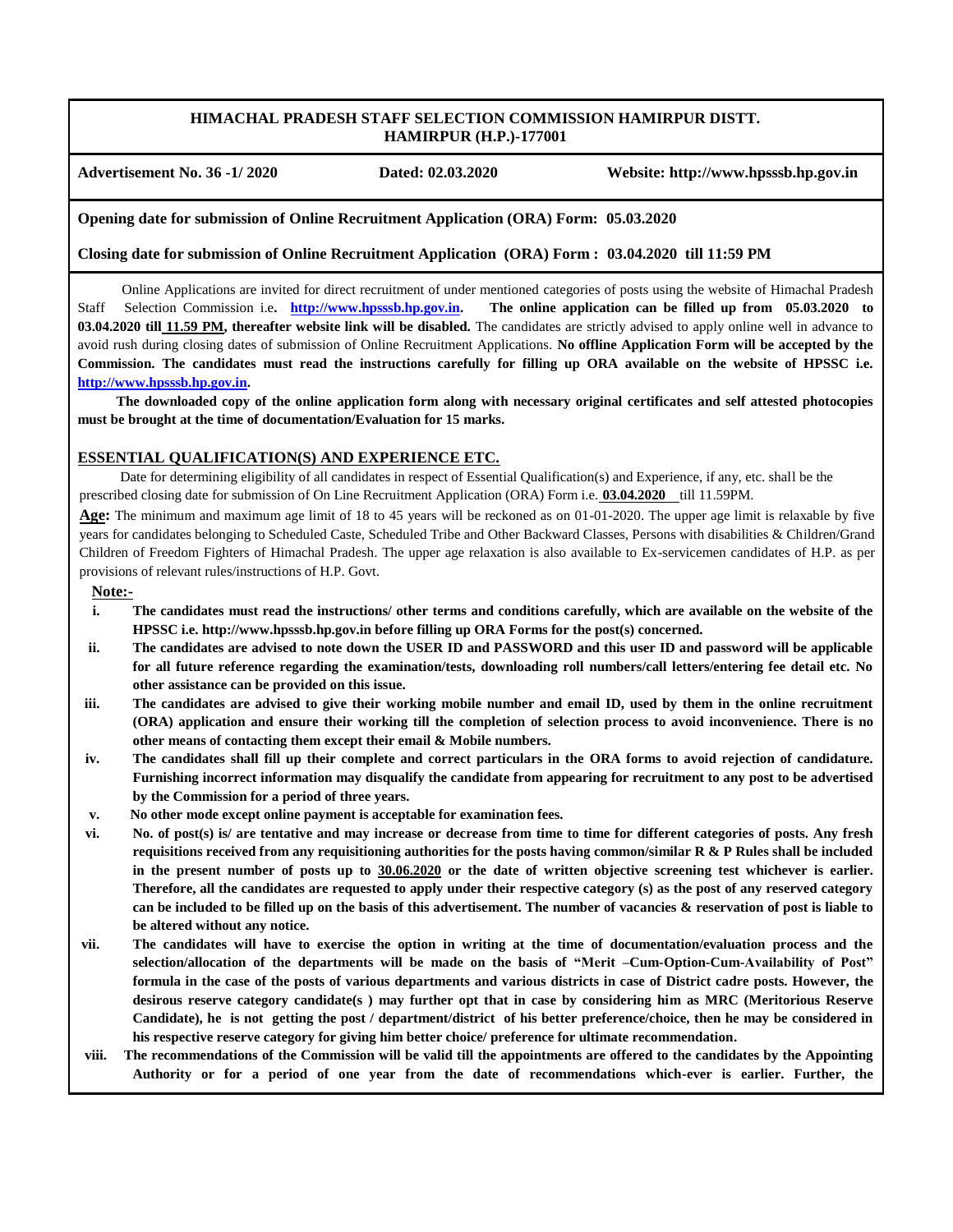## **HIMACHAL PRADESH STAFF SELECTION COMMISSION HAMIRPUR DISTT. HAMIRPUR (H.P.)-177001**

**Advertisement No. 36 -1/ 2020 Dated: 02.03.2020 Website: http://www.hpsssb.hp.gov.in**

**Opening date for submission of Online Recruitment Application (ORA) Form: 05.03.2020**

**Closing date for submission of Online Recruitment Application (ORA) Form : 03.04.2020 till 11:59 PM** 

 Online Applications are invited for direct recruitment of under mentioned categories of posts using the website of Himachal Pradesh Staff Selection Commission i.e**. [http://www.hpsssb.hp.gov.in.](http://www.hpsssb.hp.gov.in/) The online application can be filled up from 05.03.2020 to 03.04.2020 till 11.59 PM, thereafter website link will be disabled.** The candidates are strictly advised to apply online well in advance to avoid rush during closing dates of submission of Online Recruitment Applications. **No offline Application Form will be accepted by the Commission. The candidates must read the instructions carefully for filling up ORA available on the website of HPSSC i.e. [http://www.hpsssb.hp.gov.in.](http://www.hpsssb.hp.gov.in/)**

 **The downloaded copy of the online application form along with necessary original certificates and self attested photocopies must be brought at the time of documentation/Evaluation for 15 marks.** 

#### **ESSENTIAL QUALIFICATION(S) AND EXPERIENCE ETC.**

 Date for determining eligibility of all candidates in respect of Essential Qualification(s) and Experience, if any, etc. shall be the prescribed closing date for submission of On Line Recruitment Application (ORA) Form i.e. **03.04.2020** till 11.59PM.

**Age:** The minimum and maximum age limit of 18 to 45 years will be reckoned as on 01-01-2020. The upper age limit is relaxable by five years for candidates belonging to Scheduled Caste, Scheduled Tribe and Other Backward Classes, Persons with disabilities & Children/Grand Children of Freedom Fighters of Himachal Pradesh. The upper age relaxation is also available to Ex-servicemen candidates of H.P. as per provisions of relevant rules/instructions of H.P. Govt.

# **Note:-**

- **i. The candidates must read the instructions/ other terms and conditions carefully, which are available on the website of the HPSSC i.e. http://www.hpsssb.hp.gov.in before filling up ORA Forms for the post(s) concerned.**
- **ii. The candidates are advised to note down the USER ID and PASSWORD and this user ID and password will be applicable for all future reference regarding the examination/tests, downloading roll numbers/call letters/entering fee detail etc. No other assistance can be provided on this issue.**
- **iii. The candidates are advised to give their working mobile number and email ID, used by them in the online recruitment (ORA) application and ensure their working till the completion of selection process to avoid inconvenience. There is no other means of contacting them except their email & Mobile numbers.**
- **iv. The candidates shall fill up their complete and correct particulars in the ORA forms to avoid rejection of candidature. Furnishing incorrect information may disqualify the candidate from appearing for recruitment to any post to be advertised by the Commission for a period of three years.**
- **v. No other mode except online payment is acceptable for examination fees.**
- **vi. No. of post(s) is/ are tentative and may increase or decrease from time to time for different categories of posts. Any fresh requisitions received from any requisitioning authorities for the posts having common/similar R & P Rules shall be included in the present number of posts up to 30.06.2020 or the date of written objective screening test whichever is earlier. Therefore, all the candidates are requested to apply under their respective category (s) as the post of any reserved category can be included to be filled up on the basis of this advertisement. The number of vacancies & reservation of post is liable to be altered without any notice.**
- **vii. The candidates will have to exercise the option in writing at the time of documentation/evaluation process and the selection/allocation of the departments will be made on the basis of "Merit –Cum-Option-Cum-Availability of Post" formula in the case of the posts of various departments and various districts in case of District cadre posts. However, the desirous reserve category candidate(s ) may further opt that in case by considering him as MRC (Meritorious Reserve Candidate), he is not getting the post / department/district of his better preference/choice, then he may be considered in his respective reserve category for giving him better choice/ preference for ultimate recommendation.**
- **viii. The recommendations of the Commission will be valid till the appointments are offered to the candidates by the Appointing Authority or for a period of one year from the date of recommendations which-ever is earlier. Further, the**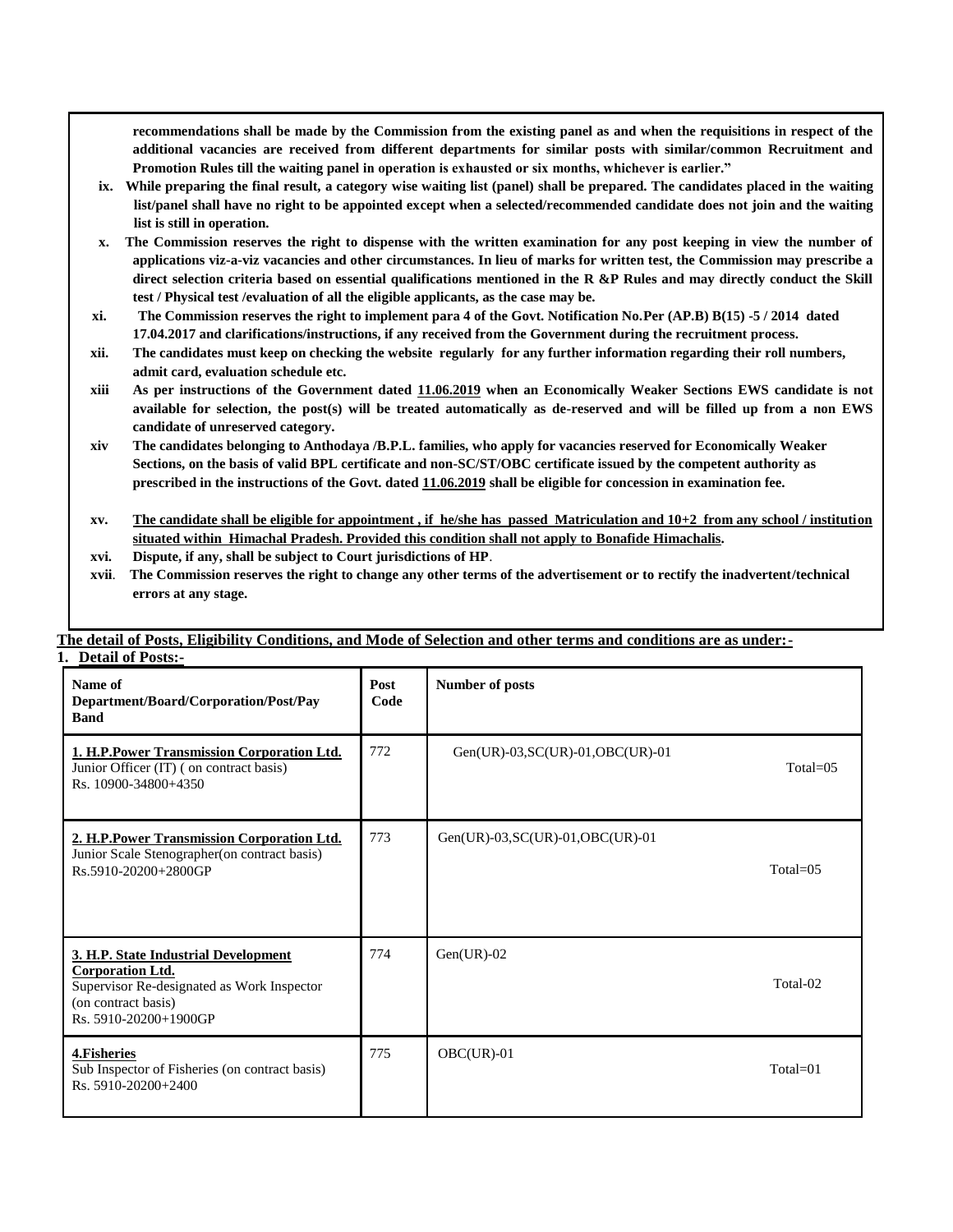**recommendations shall be made by the Commission from the existing panel as and when the requisitions in respect of the additional vacancies are received from different departments for similar posts with similar/common Recruitment and Promotion Rules till the waiting panel in operation is exhausted or six months, whichever is earlier."**

- **ix. While preparing the final result, a category wise waiting list (panel) shall be prepared. The candidates placed in the waiting list/panel shall have no right to be appointed except when a selected/recommended candidate does not join and the waiting list is still in operation.**
- **x. The Commission reserves the right to dispense with the written examination for any post keeping in view the number of applications viz-a-viz vacancies and other circumstances. In lieu of marks for written test, the Commission may prescribe a direct selection criteria based on essential qualifications mentioned in the R &P Rules and may directly conduct the Skill test / Physical test /evaluation of all the eligible applicants, as the case may be.**
- **xi. The Commission reserves the right to implement para 4 of the Govt. Notification No.Per (AP.B) B(15) -5 / 2014 dated 17.04.2017 and clarifications/instructions, if any received from the Government during the recruitment process.**
- **xii. The candidates must keep on checking the website regularly for any further information regarding their roll numbers, admit card, evaluation schedule etc.**
- **xiii As per instructions of the Government dated 11.06.2019 when an Economically Weaker Sections EWS candidate is not available for selection, the post(s) will be treated automatically as de-reserved and will be filled up from a non EWS candidate of unreserved category.**
- **xiv The candidates belonging to Anthodaya /B.P.L. families, who apply for vacancies reserved for Economically Weaker Sections, on the basis of valid BPL certificate and non-SC/ST/OBC certificate issued by the competent authority as prescribed in the instructions of the Govt. dated 11.06.2019 shall be eligible for concession in examination fee.**
- **xv. The candidate shall be eligible for appointment , if he/she has passed Matriculation and 10+2 from any school / institution situated within Himachal Pradesh. Provided this condition shall not apply to Bonafide Himachalis.**
- **xvi. Dispute, if any, shall be subject to Court jurisdictions of HP**.
- **xvii**. **The Commission reserves the right to change any other terms of the advertisement or to rectify the inadvertent/technical errors at any stage.**

| DUCTAIL OF L OSIS.                                                                                                                                            |              |                                         |              |
|---------------------------------------------------------------------------------------------------------------------------------------------------------------|--------------|-----------------------------------------|--------------|
| Name of<br>Department/Board/Corporation/Post/Pay<br><b>Band</b>                                                                                               | Post<br>Code | <b>Number of posts</b>                  |              |
| 1. H.P.Power Transmission Corporation Ltd.<br>Junior Officer (IT) (on contract basis)<br>Rs. 10900-34800+4350                                                 | 772          | Gen(UR)-03, $SC(UR)$ -01, $OBC(UR)$ -01 | $Total = 05$ |
| 2. H.P.Power Transmission Corporation Ltd.<br>Junior Scale Stenographer(on contract basis)<br>Rs.5910-20200+2800GP                                            | 773          | Gen(UR)-03, SC(UR)-01, OBC(UR)-01       | Total= $05$  |
| 3. H.P. State Industrial Development<br><b>Corporation Ltd.</b><br>Supervisor Re-designated as Work Inspector<br>(on contract basis)<br>Rs. 5910-20200+1900GP | 774          | $Gen(UR)-02$                            | Total-02     |
| 4. Fisheries<br>Sub Inspector of Fisheries (on contract basis)<br>Rs. 5910-20200+2400                                                                         | 775          | $OBC(UR)$ -01                           | Total=01     |

#### **The detail of Posts, Eligibility Conditions, and Mode of Selection and other terms and conditions are as under:- 1. Detail of Posts:-**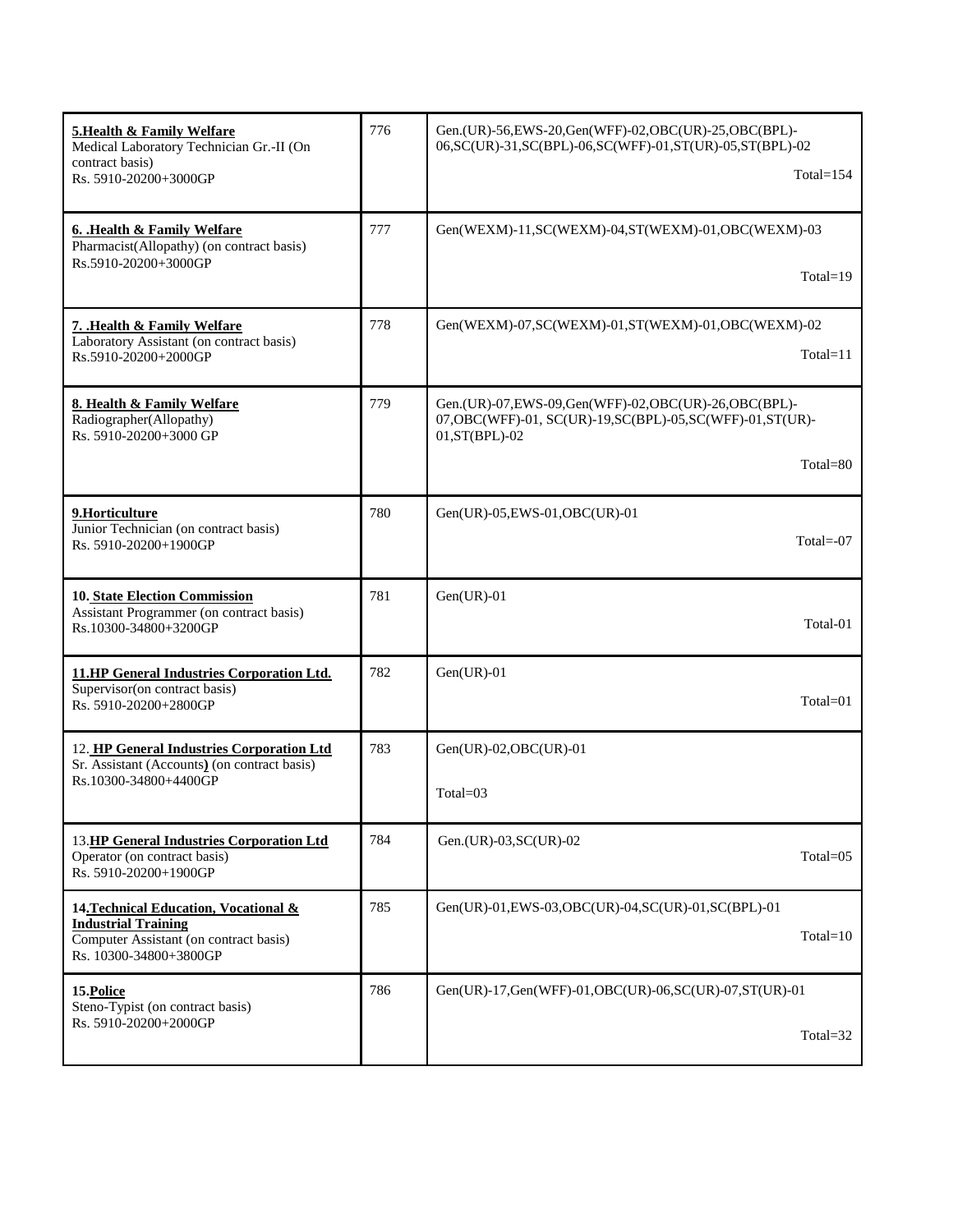| <b>5. Health &amp; Family Welfare</b><br>Medical Laboratory Technician Gr.-II (On<br>contract basis)<br>Rs. 5910-20200+3000GP           | 776 | Gen.(UR)-56, EWS-20, Gen(WFF)-02, OBC(UR)-25, OBC(BPL)-<br>06, SC(UR)-31, SC(BPL)-06, SC(WFF)-01, ST(UR)-05, ST(BPL)-02<br>$Total = 154$                 |
|-----------------------------------------------------------------------------------------------------------------------------------------|-----|----------------------------------------------------------------------------------------------------------------------------------------------------------|
| 6. Health & Family Welfare<br>Pharmacist(Allopathy) (on contract basis)<br>Rs.5910-20200+3000GP                                         | 777 | Gen(WEXM)-11,SC(WEXM)-04,ST(WEXM)-01,OBC(WEXM)-03<br>$Total = 19$                                                                                        |
| 7. Health & Family Welfare<br>Laboratory Assistant (on contract basis)<br>Rs.5910-20200+2000GP                                          | 778 | Gen(WEXM)-07, SC(WEXM)-01, ST(WEXM)-01, OBC(WEXM)-02<br>$Total=11$                                                                                       |
| 8. Health & Family Welfare<br>Radiographer(Allopathy)<br>Rs. 5910-20200+3000 GP                                                         | 779 | Gen.(UR)-07, EWS-09, Gen(WFF)-02, OBC(UR)-26, OBC(BPL)-<br>07, OBC(WFF)-01, SC(UR)-19, SC(BPL)-05, SC(WFF)-01, ST(UR)-<br>01, ST(BPL)-02<br>$Total = 80$ |
|                                                                                                                                         |     |                                                                                                                                                          |
| 9.Horticulture<br>Junior Technician (on contract basis)<br>Rs. 5910-20200+1900GP                                                        | 780 | Gen(UR)-05, EWS-01, OBC(UR)-01<br>Total= $-07$                                                                                                           |
| <b>10. State Election Commission</b><br>Assistant Programmer (on contract basis)<br>Rs.10300-34800+3200GP                               | 781 | $Gen(UR) - 01$<br>Total-01                                                                                                                               |
| <b>11.HP General Industries Corporation Ltd.</b><br>Supervisor (on contract basis)<br>Rs. 5910-20200+2800GP                             | 782 | $Gen(UR)-01$<br>$Total = 01$                                                                                                                             |
| 12. HP General Industries Corporation Ltd                                                                                               | 783 | $Gen(UR)-02, OBC(UR)-01$                                                                                                                                 |
| Sr. Assistant (Accounts) (on contract basis)<br>Rs.10300-34800+4400GP                                                                   |     | $Total = 03$                                                                                                                                             |
| 13.HP General Industries Corporation Ltd<br>Operator (on contract basis)<br>Rs. 5910-20200+1900GP                                       | 784 | Gen.(UR)-03, SC(UR)-02<br>Total=05                                                                                                                       |
| 14. Technical Education, Vocational &<br><b>Industrial Training</b><br>Computer Assistant (on contract basis)<br>Rs. 10300-34800+3800GP | 785 | Gen(UR)-01,EWS-03,OBC(UR)-04,SC(UR)-01,SC(BPL)-01<br>$Total=10$                                                                                          |
| 15. Police<br>Steno-Typist (on contract basis)                                                                                          | 786 | Gen(UR)-17,Gen(WFF)-01,OBC(UR)-06,SC(UR)-07,ST(UR)-01                                                                                                    |
| Rs. 5910-20200+2000GP                                                                                                                   |     | Total= $32$                                                                                                                                              |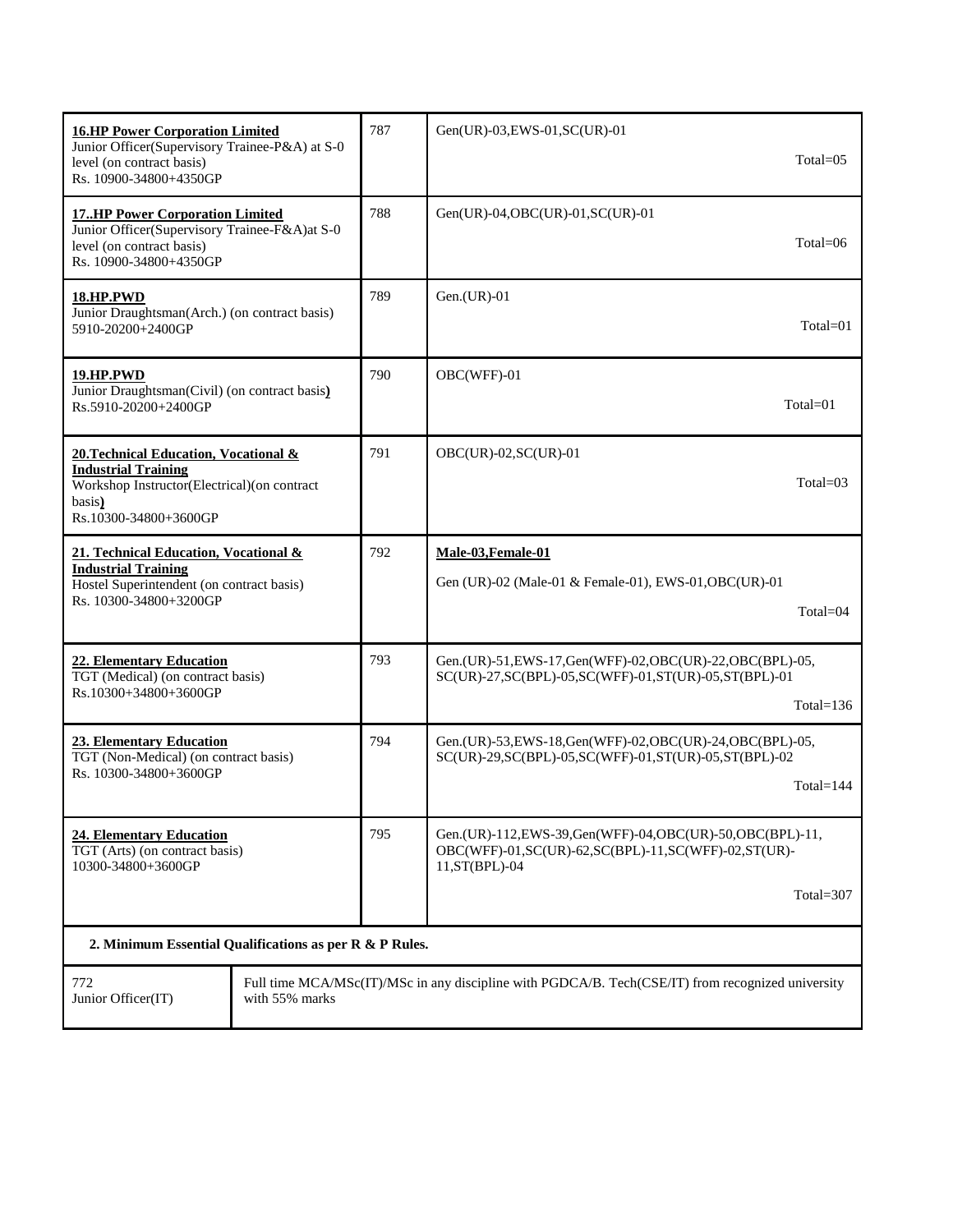| <b>16.HP Power Corporation Limited</b><br>Junior Officer(Supervisory Trainee-P&A) at S-0<br>level (on contract basis)<br>Rs. 10900-34800+4350GP       | 787                                                                                               | Gen(UR)-03, EWS-01, SC(UR)-01<br>$Total = 05$                                                                                          |  |
|-------------------------------------------------------------------------------------------------------------------------------------------------------|---------------------------------------------------------------------------------------------------|----------------------------------------------------------------------------------------------------------------------------------------|--|
| <b>17HP Power Corporation Limited</b><br>Junior Officer(Supervisory Trainee-F&A)at S-0<br>level (on contract basis)<br>Rs. 10900-34800+4350GP         | 788                                                                                               | Gen(UR)-04, OBC(UR)-01, SC(UR)-01<br>Total=06                                                                                          |  |
| <b>18.HP.PWD</b><br>Junior Draughtsman(Arch.) (on contract basis)<br>5910-20200+2400GP                                                                | 789                                                                                               | $Gen.(UR)-01$<br>$Total = 01$                                                                                                          |  |
| <u>19.HP.PWD</u><br>Junior Draughtsman(Civil) (on contract basis)<br>Rs.5910-20200+2400GP                                                             | 790                                                                                               | OBC(WFF)-01<br>$Total = 01$                                                                                                            |  |
| 20. Technical Education, Vocational &<br><b>Industrial Training</b><br>Workshop Instructor(Electrical)(on contract<br>basis)<br>Rs.10300-34800+3600GP | 791                                                                                               | OBC(UR)-02, SC(UR)-01<br>$Total = 03$                                                                                                  |  |
| 21. Technical Education, Vocational &<br><b>Industrial Training</b><br>Hostel Superintendent (on contract basis)<br>Rs. 10300-34800+3200GP            | 792                                                                                               | Male-03, Female-01<br>Gen (UR)-02 (Male-01 & Female-01), EWS-01, OBC (UR)-01<br>$Total = 04$                                           |  |
| <b>22. Elementary Education</b><br>TGT (Medical) (on contract basis)<br>Rs.10300+34800+3600GP                                                         | 793                                                                                               | Gen.(UR)-51, EWS-17, Gen(WFF)-02, OBC(UR)-22, OBC(BPL)-05,<br>SC(UR)-27, SC(BPL)-05, SC(WFF)-01, ST(UR)-05, ST(BPL)-01<br>Total= $136$ |  |
| <b>23. Elementary Education</b><br>TGT (Non-Medical) (on contract basis)<br>Rs. 10300-34800+3600GP                                                    | 794                                                                                               | Gen.(UR)-53, EWS-18, Gen(WFF)-02, OBC(UR)-24, OBC(BPL)-05,<br>SC(UR)-29, SC(BPL)-05, SC(WFF)-01, ST(UR)-05, ST(BPL)-02<br>Total= $144$ |  |
| 795<br><b>24. Elementary Education</b><br>TGT (Arts) (on contract basis)<br>10300-34800+3600GP                                                        |                                                                                                   | Gen.(UR)-112,EWS-39,Gen(WFF)-04,OBC(UR)-50,OBC(BPL)-11,<br>OBC(WFF)-01,SC(UR)-62,SC(BPL)-11,SC(WFF)-02,ST(UR)-<br>$11, ST(BPL)$ -04    |  |
|                                                                                                                                                       |                                                                                                   | Total=307                                                                                                                              |  |
| 2. Minimum Essential Qualifications as per R & P Rules.                                                                                               |                                                                                                   |                                                                                                                                        |  |
| 772<br>Junior Officer(IT)<br>with 55% marks                                                                                                           | Full time MCA/MSc(IT)/MSc in any discipline with PGDCA/B. Tech(CSE/IT) from recognized university |                                                                                                                                        |  |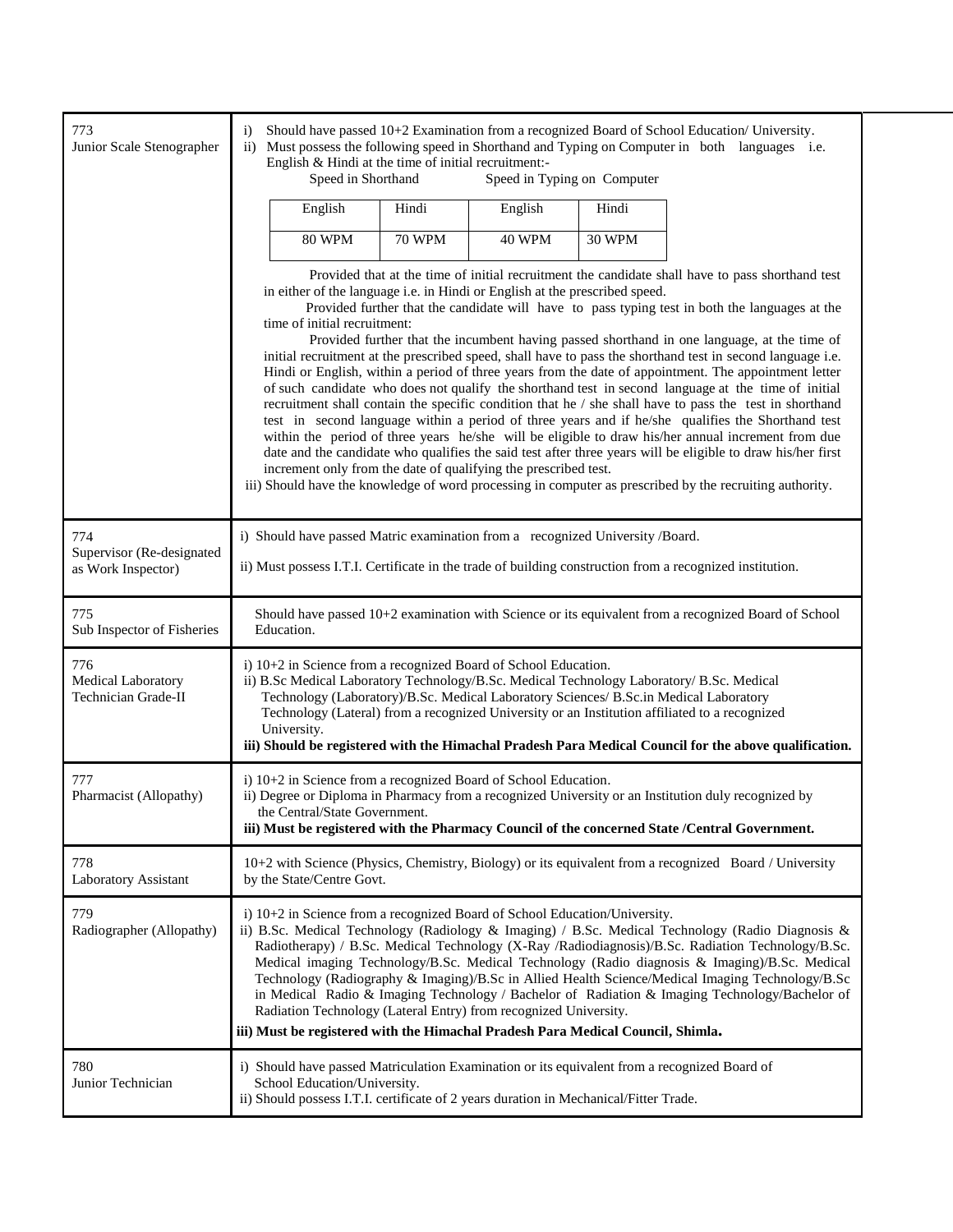| 773<br>Junior Scale Stenographer                       | Should have passed 10+2 Examination from a recognized Board of School Education/ University.<br>$\ddot{1}$<br>Must possess the following speed in Shorthand and Typing on Computer in both languages i.e.<br>$\rm ii)$<br>English & Hindi at the time of initial recruitment:-<br>Speed in Shorthand<br>Speed in Typing on Computer                                                                                                                                                                                                                                                                                                                                                                                                                                                                                                                                                                                                                                                                                                                                                                                                                                                                                                                                                                                                                                |               |               |               |                                                                                                                                                                                                                                                                                                                                                                                                                                                                                                              |  |  |
|--------------------------------------------------------|--------------------------------------------------------------------------------------------------------------------------------------------------------------------------------------------------------------------------------------------------------------------------------------------------------------------------------------------------------------------------------------------------------------------------------------------------------------------------------------------------------------------------------------------------------------------------------------------------------------------------------------------------------------------------------------------------------------------------------------------------------------------------------------------------------------------------------------------------------------------------------------------------------------------------------------------------------------------------------------------------------------------------------------------------------------------------------------------------------------------------------------------------------------------------------------------------------------------------------------------------------------------------------------------------------------------------------------------------------------------|---------------|---------------|---------------|--------------------------------------------------------------------------------------------------------------------------------------------------------------------------------------------------------------------------------------------------------------------------------------------------------------------------------------------------------------------------------------------------------------------------------------------------------------------------------------------------------------|--|--|
|                                                        | English                                                                                                                                                                                                                                                                                                                                                                                                                                                                                                                                                                                                                                                                                                                                                                                                                                                                                                                                                                                                                                                                                                                                                                                                                                                                                                                                                            | Hindi         | English       | Hindi         |                                                                                                                                                                                                                                                                                                                                                                                                                                                                                                              |  |  |
|                                                        | <b>80 WPM</b>                                                                                                                                                                                                                                                                                                                                                                                                                                                                                                                                                                                                                                                                                                                                                                                                                                                                                                                                                                                                                                                                                                                                                                                                                                                                                                                                                      | <b>70 WPM</b> | <b>40 WPM</b> | <b>30 WPM</b> |                                                                                                                                                                                                                                                                                                                                                                                                                                                                                                              |  |  |
|                                                        | Provided that at the time of initial recruitment the candidate shall have to pass shorthand test<br>in either of the language i.e. in Hindi or English at the prescribed speed.<br>Provided further that the candidate will have to pass typing test in both the languages at the<br>time of initial recruitment:<br>Provided further that the incumbent having passed shorthand in one language, at the time of<br>initial recruitment at the prescribed speed, shall have to pass the shorthand test in second language i.e.<br>Hindi or English, within a period of three years from the date of appointment. The appointment letter<br>of such candidate who does not qualify the shorthand test in second language at the time of initial<br>recruitment shall contain the specific condition that he / she shall have to pass the test in shorthand<br>test in second language within a period of three years and if he/she qualifies the Shorthand test<br>within the period of three years he/she will be eligible to draw his/her annual increment from due<br>date and the candidate who qualifies the said test after three years will be eligible to draw his/her first<br>increment only from the date of qualifying the prescribed test.<br>iii) Should have the knowledge of word processing in computer as prescribed by the recruiting authority. |               |               |               |                                                                                                                                                                                                                                                                                                                                                                                                                                                                                                              |  |  |
| 774<br>Supervisor (Re-designated<br>as Work Inspector) | i) Should have passed Matric examination from a recognized University /Board.<br>ii) Must possess I.T.I. Certificate in the trade of building construction from a recognized institution.                                                                                                                                                                                                                                                                                                                                                                                                                                                                                                                                                                                                                                                                                                                                                                                                                                                                                                                                                                                                                                                                                                                                                                          |               |               |               |                                                                                                                                                                                                                                                                                                                                                                                                                                                                                                              |  |  |
| 775<br>Sub Inspector of Fisheries                      | Should have passed 10+2 examination with Science or its equivalent from a recognized Board of School<br>Education.                                                                                                                                                                                                                                                                                                                                                                                                                                                                                                                                                                                                                                                                                                                                                                                                                                                                                                                                                                                                                                                                                                                                                                                                                                                 |               |               |               |                                                                                                                                                                                                                                                                                                                                                                                                                                                                                                              |  |  |
| 776<br>Medical Laboratory<br>Technician Grade-II       | i) $10+2$ in Science from a recognized Board of School Education.<br>ii) B.Sc Medical Laboratory Technology/B.Sc. Medical Technology Laboratory/ B.Sc. Medical<br>Technology (Laboratory)/B.Sc. Medical Laboratory Sciences/ B.Sc.in Medical Laboratory<br>Technology (Lateral) from a recognized University or an Institution affiliated to a recognized<br>University.<br>iii) Should be registered with the Himachal Pradesh Para Medical Council for the above qualification.                                                                                                                                                                                                                                                                                                                                                                                                                                                                                                                                                                                                                                                                                                                                                                                                                                                                                  |               |               |               |                                                                                                                                                                                                                                                                                                                                                                                                                                                                                                              |  |  |
| 777<br>Pharmacist (Allopathy)                          | i) 10+2 in Science from a recognized Board of School Education.<br>ii) Degree or Diploma in Pharmacy from a recognized University or an Institution duly recognized by<br>the Central/State Government.<br>iii) Must be registered with the Pharmacy Council of the concerned State /Central Government.                                                                                                                                                                                                                                                                                                                                                                                                                                                                                                                                                                                                                                                                                                                                                                                                                                                                                                                                                                                                                                                           |               |               |               |                                                                                                                                                                                                                                                                                                                                                                                                                                                                                                              |  |  |
| 778<br>Laboratory Assistant                            | 10+2 with Science (Physics, Chemistry, Biology) or its equivalent from a recognized Board / University<br>by the State/Centre Govt.                                                                                                                                                                                                                                                                                                                                                                                                                                                                                                                                                                                                                                                                                                                                                                                                                                                                                                                                                                                                                                                                                                                                                                                                                                |               |               |               |                                                                                                                                                                                                                                                                                                                                                                                                                                                                                                              |  |  |
| 779<br>Radiographer (Allopathy)                        | i) 10+2 in Science from a recognized Board of School Education/University.<br>Radiation Technology (Lateral Entry) from recognized University.<br>iii) Must be registered with the Himachal Pradesh Para Medical Council, Shimla.                                                                                                                                                                                                                                                                                                                                                                                                                                                                                                                                                                                                                                                                                                                                                                                                                                                                                                                                                                                                                                                                                                                                  |               |               |               | ii) B.Sc. Medical Technology (Radiology & Imaging) / B.Sc. Medical Technology (Radio Diagnosis &<br>Radiotherapy) / B.Sc. Medical Technology (X-Ray /Radiodiagnosis)/B.Sc. Radiation Technology/B.Sc.<br>Medical imaging Technology/B.Sc. Medical Technology (Radio diagnosis & Imaging)/B.Sc. Medical<br>Technology (Radiography & Imaging)/B.Sc in Allied Health Science/Medical Imaging Technology/B.Sc<br>in Medical Radio & Imaging Technology / Bachelor of Radiation & Imaging Technology/Bachelor of |  |  |
| 780<br>Junior Technician                               | i) Should have passed Matriculation Examination or its equivalent from a recognized Board of<br>School Education/University.<br>ii) Should possess I.T.I. certificate of 2 years duration in Mechanical/Fitter Trade.                                                                                                                                                                                                                                                                                                                                                                                                                                                                                                                                                                                                                                                                                                                                                                                                                                                                                                                                                                                                                                                                                                                                              |               |               |               |                                                                                                                                                                                                                                                                                                                                                                                                                                                                                                              |  |  |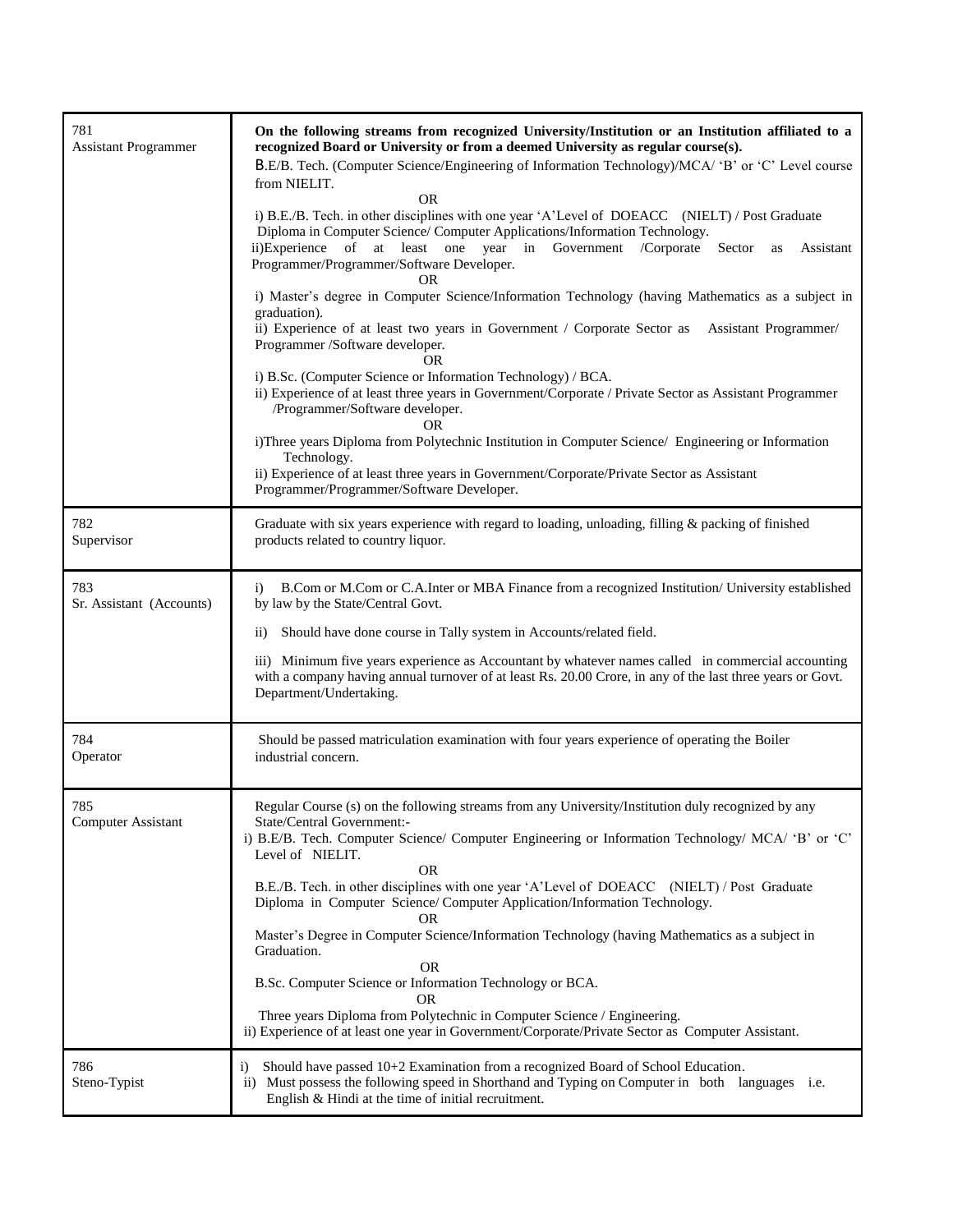| 781<br><b>Assistant Programmer</b> | On the following streams from recognized University/Institution or an Institution affiliated to a<br>recognized Board or University or from a deemed University as regular course(s).<br>B.E/B. Tech. (Computer Science/Engineering of Information Technology)/MCA/ 'B' or 'C' Level course<br>from NIELIT.<br><b>OR</b><br>i) B.E./B. Tech. in other disciplines with one year 'A'Level of DOEACC (NIELT) / Post Graduate<br>Diploma in Computer Science/ Computer Applications/Information Technology.<br>ii)Experience<br>of at least one year in<br>Government<br>/Corporate<br>Sector as<br>Assistant<br>Programmer/Programmer/Software Developer.<br><b>OR</b><br>i) Master's degree in Computer Science/Information Technology (having Mathematics as a subject in<br>graduation).<br>ii) Experience of at least two years in Government / Corporate Sector as<br>Assistant Programmer/<br>Programmer /Software developer.<br>OR.<br>i) B.Sc. (Computer Science or Information Technology) / BCA.<br>ii) Experience of at least three years in Government/Corporate / Private Sector as Assistant Programmer<br>/Programmer/Software developer.<br>OR.<br>i)Three years Diploma from Polytechnic Institution in Computer Science/ Engineering or Information<br>Technology.<br>ii) Experience of at least three years in Government/Corporate/Private Sector as Assistant<br>Programmer/Programmer/Software Developer. |
|------------------------------------|-------------------------------------------------------------------------------------------------------------------------------------------------------------------------------------------------------------------------------------------------------------------------------------------------------------------------------------------------------------------------------------------------------------------------------------------------------------------------------------------------------------------------------------------------------------------------------------------------------------------------------------------------------------------------------------------------------------------------------------------------------------------------------------------------------------------------------------------------------------------------------------------------------------------------------------------------------------------------------------------------------------------------------------------------------------------------------------------------------------------------------------------------------------------------------------------------------------------------------------------------------------------------------------------------------------------------------------------------------------------------------------------------------------------------------|
| 782<br>Supervisor                  | Graduate with six years experience with regard to loading, unloading, filling & packing of finished<br>products related to country liquor.                                                                                                                                                                                                                                                                                                                                                                                                                                                                                                                                                                                                                                                                                                                                                                                                                                                                                                                                                                                                                                                                                                                                                                                                                                                                                    |
| 783<br>Sr. Assistant (Accounts)    | B.Com or M.Com or C.A.Inter or MBA Finance from a recognized Institution/ University established<br>$\ddot{1}$<br>by law by the State/Central Govt.<br>Should have done course in Tally system in Accounts/related field.<br>$\rm ii)$<br>iii) Minimum five years experience as Accountant by whatever names called in commercial accounting<br>with a company having annual turnover of at least Rs. 20.00 Crore, in any of the last three years or Govt.<br>Department/Undertaking.                                                                                                                                                                                                                                                                                                                                                                                                                                                                                                                                                                                                                                                                                                                                                                                                                                                                                                                                         |
| 784<br>Operator                    | Should be passed matriculation examination with four years experience of operating the Boiler<br>industrial concern.                                                                                                                                                                                                                                                                                                                                                                                                                                                                                                                                                                                                                                                                                                                                                                                                                                                                                                                                                                                                                                                                                                                                                                                                                                                                                                          |
| 785<br><b>Computer Assistant</b>   | Regular Course (s) on the following streams from any University/Institution duly recognized by any<br>State/Central Government:-<br>i) B.E/B. Tech. Computer Science/ Computer Engineering or Information Technology/ MCA/ 'B' or 'C'<br>Level of NIELIT.<br><b>OR</b><br>B.E./B. Tech. in other disciplines with one year 'A'Level of DOEACC (NIELT) / Post Graduate<br>Diploma in Computer Science/Computer Application/Information Technology.<br>OR.<br>Master's Degree in Computer Science/Information Technology (having Mathematics as a subject in<br>Graduation.<br><b>OR</b><br>B.Sc. Computer Science or Information Technology or BCA.<br>0R<br>Three years Diploma from Polytechnic in Computer Science / Engineering.<br>ii) Experience of at least one year in Government/Corporate/Private Sector as Computer Assistant.                                                                                                                                                                                                                                                                                                                                                                                                                                                                                                                                                                                      |
| 786<br>Steno-Typist                | Should have passed 10+2 Examination from a recognized Board of School Education.<br>$\ddot{1}$<br>Must possess the following speed in Shorthand and Typing on Computer in both languages i.e.<br>$\overline{11}$ )<br>English & Hindi at the time of initial recruitment.                                                                                                                                                                                                                                                                                                                                                                                                                                                                                                                                                                                                                                                                                                                                                                                                                                                                                                                                                                                                                                                                                                                                                     |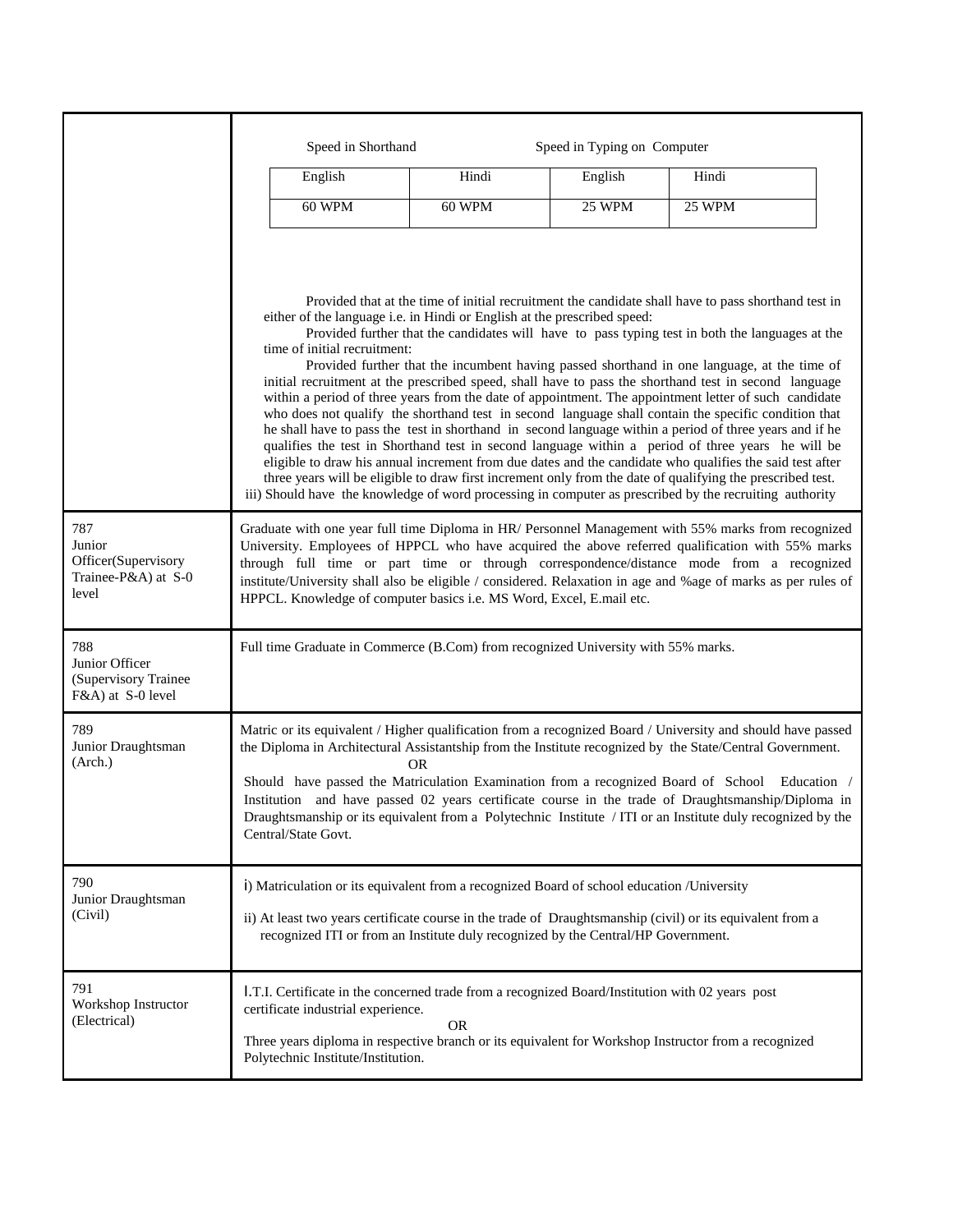|                                                                      | Speed in Shorthand                                                                                                                                                                                                                                                                                                                                                                                                                                                                                                                                                                                      |        | Speed in Typing on Computer |                                                                                                                                                                                                                                                                                                                                                                                                                                                                                                                                                                                                                                                                                                                                                                                                                                                                                                                                                                                                                                                                           |
|----------------------------------------------------------------------|---------------------------------------------------------------------------------------------------------------------------------------------------------------------------------------------------------------------------------------------------------------------------------------------------------------------------------------------------------------------------------------------------------------------------------------------------------------------------------------------------------------------------------------------------------------------------------------------------------|--------|-----------------------------|---------------------------------------------------------------------------------------------------------------------------------------------------------------------------------------------------------------------------------------------------------------------------------------------------------------------------------------------------------------------------------------------------------------------------------------------------------------------------------------------------------------------------------------------------------------------------------------------------------------------------------------------------------------------------------------------------------------------------------------------------------------------------------------------------------------------------------------------------------------------------------------------------------------------------------------------------------------------------------------------------------------------------------------------------------------------------|
|                                                                      | English                                                                                                                                                                                                                                                                                                                                                                                                                                                                                                                                                                                                 | Hindi  | English                     | Hindi                                                                                                                                                                                                                                                                                                                                                                                                                                                                                                                                                                                                                                                                                                                                                                                                                                                                                                                                                                                                                                                                     |
|                                                                      | 60 WPM                                                                                                                                                                                                                                                                                                                                                                                                                                                                                                                                                                                                  | 60 WPM | <b>25 WPM</b>               | <b>25 WPM</b>                                                                                                                                                                                                                                                                                                                                                                                                                                                                                                                                                                                                                                                                                                                                                                                                                                                                                                                                                                                                                                                             |
|                                                                      | either of the language i.e. in Hindi or English at the prescribed speed:<br>time of initial recruitment:                                                                                                                                                                                                                                                                                                                                                                                                                                                                                                |        |                             | Provided that at the time of initial recruitment the candidate shall have to pass shorthand test in<br>Provided further that the candidates will have to pass typing test in both the languages at the<br>Provided further that the incumbent having passed shorthand in one language, at the time of<br>initial recruitment at the prescribed speed, shall have to pass the shorthand test in second language<br>within a period of three years from the date of appointment. The appointment letter of such candidate<br>who does not qualify the shorthand test in second language shall contain the specific condition that<br>he shall have to pass the test in shorthand in second language within a period of three years and if he<br>qualifies the test in Shorthand test in second language within a period of three years he will be<br>eligible to draw his annual increment from due dates and the candidate who qualifies the said test after<br>three years will be eligible to draw first increment only from the date of qualifying the prescribed test. |
| 787<br>Junior<br>Officer(Supervisory<br>Trainee-P&A) at S-0<br>level | iii) Should have the knowledge of word processing in computer as prescribed by the recruiting authority<br>Graduate with one year full time Diploma in HR/ Personnel Management with 55% marks from recognized<br>University. Employees of HPPCL who have acquired the above referred qualification with 55% marks<br>through full time or part time or through correspondence/distance mode from a recognized<br>institute/University shall also be eligible / considered. Relaxation in age and %age of marks as per rules of<br>HPPCL. Knowledge of computer basics i.e. MS Word, Excel, E.mail etc. |        |                             |                                                                                                                                                                                                                                                                                                                                                                                                                                                                                                                                                                                                                                                                                                                                                                                                                                                                                                                                                                                                                                                                           |
| 788<br>Junior Officer<br>(Supervisory Trainee)<br>F&A) at S-0 level  | Full time Graduate in Commerce (B.Com) from recognized University with 55% marks.                                                                                                                                                                                                                                                                                                                                                                                                                                                                                                                       |        |                             |                                                                                                                                                                                                                                                                                                                                                                                                                                                                                                                                                                                                                                                                                                                                                                                                                                                                                                                                                                                                                                                                           |
| 789<br>Junior Draughtsman<br>(Arch.)                                 | Should have passed the Matriculation Examination from a recognized Board of School<br>Central/State Govt.                                                                                                                                                                                                                                                                                                                                                                                                                                                                                               | OR.    |                             | Matric or its equivalent / Higher qualification from a recognized Board / University and should have passed<br>the Diploma in Architectural Assistantship from the Institute recognized by the State/Central Government.<br>Education /<br>Institution and have passed 02 years certificate course in the trade of Draughtsmanship/Diploma in<br>Draughtsmanship or its equivalent from a Polytechnic Institute / ITI or an Institute duly recognized by the                                                                                                                                                                                                                                                                                                                                                                                                                                                                                                                                                                                                              |
| 790<br>Junior Draughtsman<br>(Civil)                                 | i) Matriculation or its equivalent from a recognized Board of school education /University<br>recognized ITI or from an Institute duly recognized by the Central/HP Government.                                                                                                                                                                                                                                                                                                                                                                                                                         |        |                             | ii) At least two years certificate course in the trade of Draughtsmanship (civil) or its equivalent from a                                                                                                                                                                                                                                                                                                                                                                                                                                                                                                                                                                                                                                                                                                                                                                                                                                                                                                                                                                |
| 791<br>Workshop Instructor<br>(Electrical)                           | I.T.I. Certificate in the concerned trade from a recognized Board/Institution with 02 years post<br>certificate industrial experience.<br>Three years diploma in respective branch or its equivalent for Workshop Instructor from a recognized<br>Polytechnic Institute/Institution.                                                                                                                                                                                                                                                                                                                    | OR     |                             |                                                                                                                                                                                                                                                                                                                                                                                                                                                                                                                                                                                                                                                                                                                                                                                                                                                                                                                                                                                                                                                                           |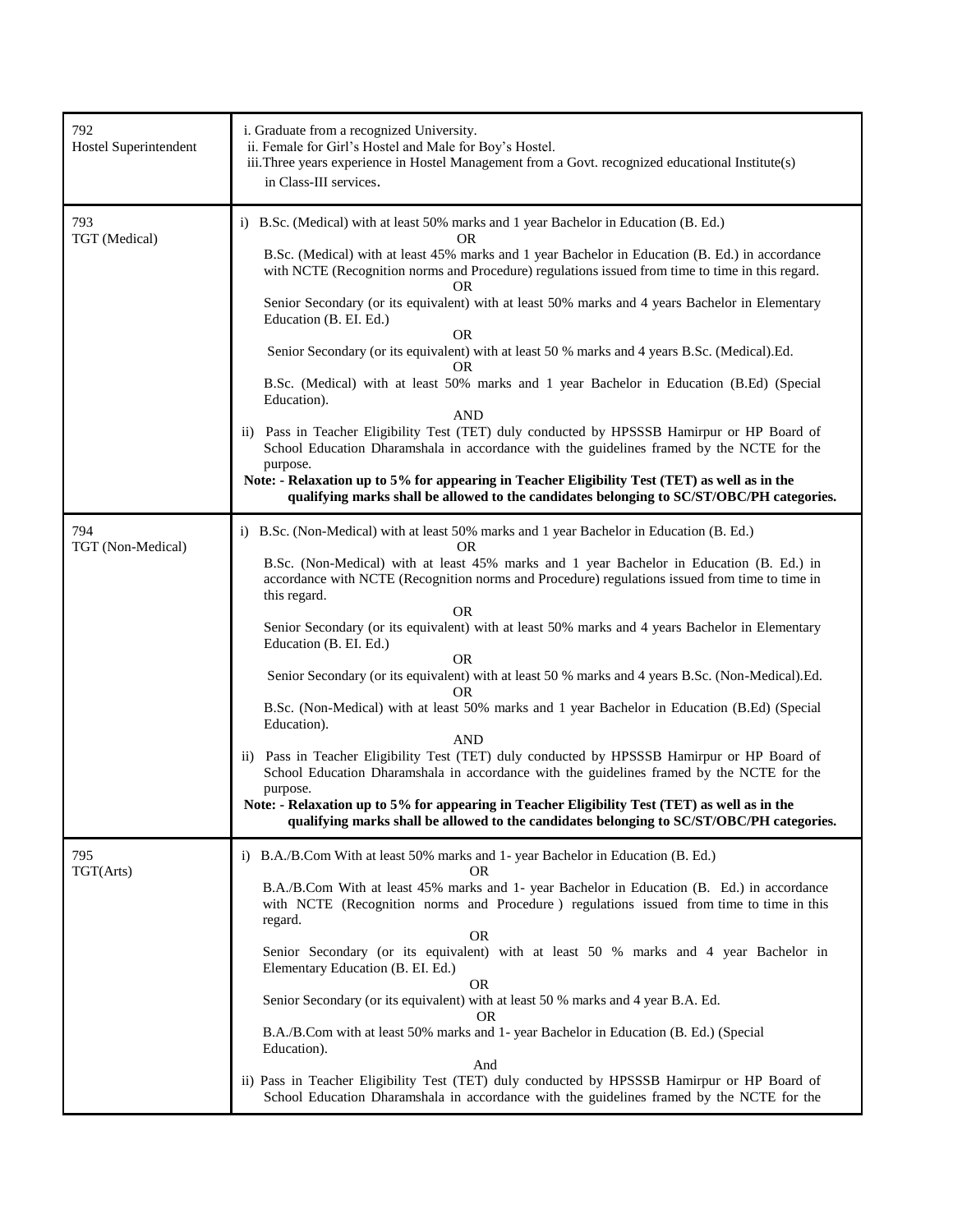| 792<br>Hostel Superintendent | i. Graduate from a recognized University.<br>ii. Female for Girl's Hostel and Male for Boy's Hostel.<br>iii.Three years experience in Hostel Management from a Govt. recognized educational Institute(s)<br>in Class-III services.                                                                                                                                                                                                                                                                                                                                                                                                                                                                                                                                                                                                                                                                                                                                                                                                                                                                         |
|------------------------------|------------------------------------------------------------------------------------------------------------------------------------------------------------------------------------------------------------------------------------------------------------------------------------------------------------------------------------------------------------------------------------------------------------------------------------------------------------------------------------------------------------------------------------------------------------------------------------------------------------------------------------------------------------------------------------------------------------------------------------------------------------------------------------------------------------------------------------------------------------------------------------------------------------------------------------------------------------------------------------------------------------------------------------------------------------------------------------------------------------|
| 793<br>TGT (Medical)         | i) B.Sc. (Medical) with at least 50% marks and 1 year Bachelor in Education (B. Ed.)<br><b>OR</b><br>B.Sc. (Medical) with at least 45% marks and 1 year Bachelor in Education (B. Ed.) in accordance<br>with NCTE (Recognition norms and Procedure) regulations issued from time to time in this regard.<br><b>OR</b><br>Senior Secondary (or its equivalent) with at least 50% marks and 4 years Bachelor in Elementary<br>Education (B. EI. Ed.)<br><b>OR</b><br>Senior Secondary (or its equivalent) with at least 50 % marks and 4 years B.Sc. (Medical).Ed.<br>OR<br>B.Sc. (Medical) with at least 50% marks and 1 year Bachelor in Education (B.Ed) (Special<br>Education).<br><b>AND</b><br>ii) Pass in Teacher Eligibility Test (TET) duly conducted by HPSSSB Hamirpur or HP Board of<br>School Education Dharamshala in accordance with the guidelines framed by the NCTE for the<br>purpose.<br>Note: - Relaxation up to 5% for appearing in Teacher Eligibility Test (TET) as well as in the<br>qualifying marks shall be allowed to the candidates belonging to SC/ST/OBC/PH categories.      |
| 794<br>TGT (Non-Medical)     | i) B.Sc. (Non-Medical) with at least 50% marks and 1 year Bachelor in Education (B. Ed.)<br>0R<br>B.Sc. (Non-Medical) with at least 45% marks and 1 year Bachelor in Education (B. Ed.) in<br>accordance with NCTE (Recognition norms and Procedure) regulations issued from time to time in<br>this regard.<br>OR<br>Senior Secondary (or its equivalent) with at least 50% marks and 4 years Bachelor in Elementary<br>Education (B. EI. Ed.)<br><b>OR</b><br>Senior Secondary (or its equivalent) with at least 50 % marks and 4 years B.Sc. (Non-Medical).Ed.<br>OR<br>B.Sc. (Non-Medical) with at least 50% marks and 1 year Bachelor in Education (B.Ed) (Special<br>Education).<br><b>AND</b><br>ii) Pass in Teacher Eligibility Test (TET) duly conducted by HPSSSB Hamirpur or HP Board of<br>School Education Dharamshala in accordance with the guidelines framed by the NCTE for the<br>purpose.<br>Note: - Relaxation up to 5% for appearing in Teacher Eligibility Test (TET) as well as in the<br>qualifying marks shall be allowed to the candidates belonging to SC/ST/OBC/PH categories. |
| 795<br>TGT(Arts)             | i) B.A./B.Com With at least 50% marks and 1- year Bachelor in Education (B. Ed.)<br>OR<br>B.A./B.Com With at least 45% marks and 1- year Bachelor in Education (B. Ed.) in accordance<br>with NCTE (Recognition norms and Procedure) regulations issued from time to time in this<br>regard.<br><b>OR</b><br>Senior Secondary (or its equivalent) with at least 50 % marks and 4 year Bachelor in<br>Elementary Education (B. EI. Ed.)<br>OR<br>Senior Secondary (or its equivalent) with at least 50 % marks and 4 year B.A. Ed.<br><b>OR</b><br>B.A./B.Com with at least 50% marks and 1-year Bachelor in Education (B. Ed.) (Special<br>Education).<br>And<br>ii) Pass in Teacher Eligibility Test (TET) duly conducted by HPSSSB Hamirpur or HP Board of<br>School Education Dharamshala in accordance with the guidelines framed by the NCTE for the                                                                                                                                                                                                                                                  |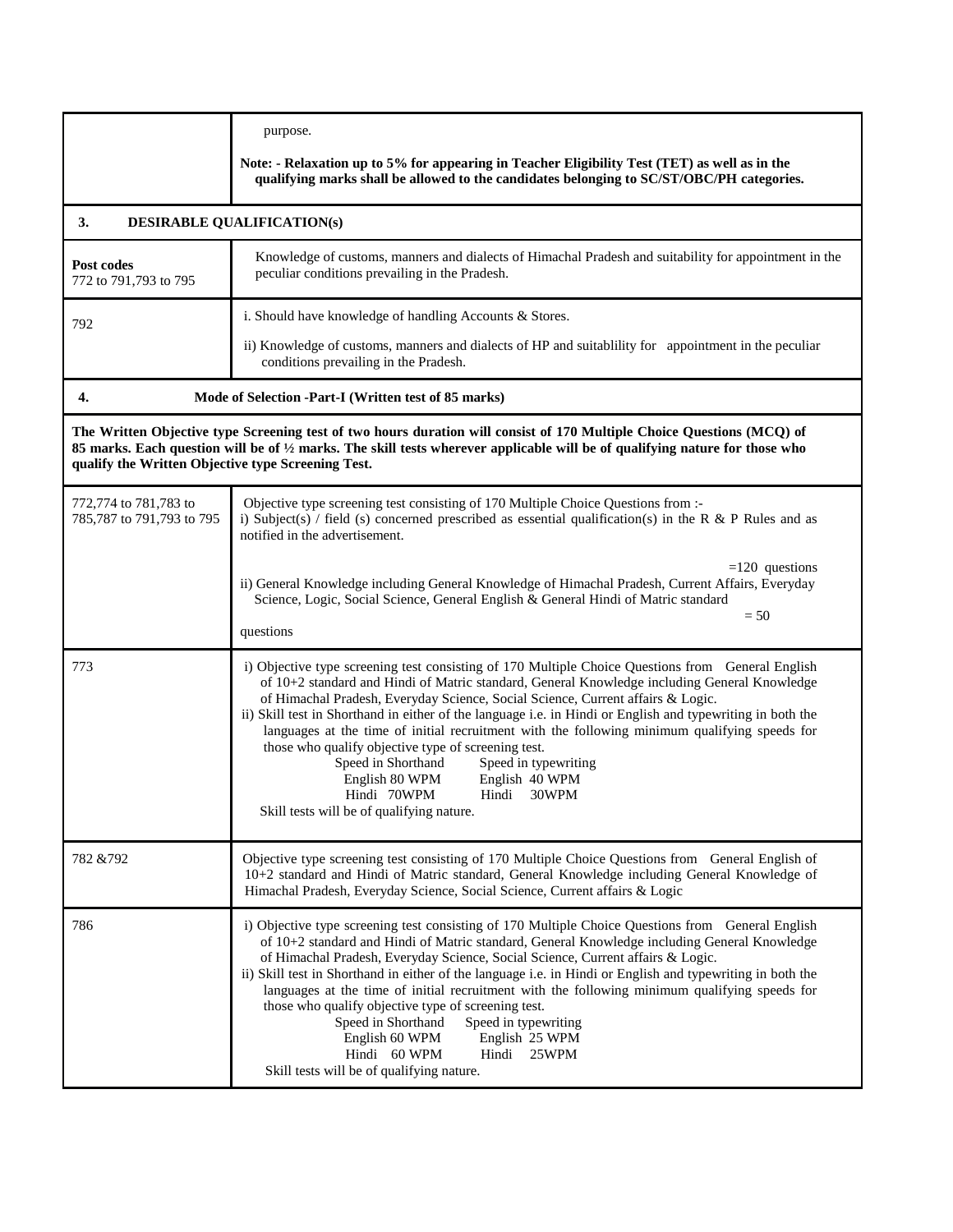|                                                    | purpose.                                                                                                                                                                                                                                                                                                                                                                                                                                                                                                                                                                                                                                                                                                                   |
|----------------------------------------------------|----------------------------------------------------------------------------------------------------------------------------------------------------------------------------------------------------------------------------------------------------------------------------------------------------------------------------------------------------------------------------------------------------------------------------------------------------------------------------------------------------------------------------------------------------------------------------------------------------------------------------------------------------------------------------------------------------------------------------|
|                                                    | Note: - Relaxation up to 5% for appearing in Teacher Eligibility Test (TET) as well as in the<br>qualifying marks shall be allowed to the candidates belonging to SC/ST/OBC/PH categories.                                                                                                                                                                                                                                                                                                                                                                                                                                                                                                                                 |
| 3.                                                 | <b>DESIRABLE QUALIFICATION(s)</b>                                                                                                                                                                                                                                                                                                                                                                                                                                                                                                                                                                                                                                                                                          |
| Post codes<br>772 to 791,793 to 795                | Knowledge of customs, manners and dialects of Himachal Pradesh and suitability for appointment in the<br>peculiar conditions prevailing in the Pradesh.                                                                                                                                                                                                                                                                                                                                                                                                                                                                                                                                                                    |
| 792                                                | i. Should have knowledge of handling Accounts & Stores.                                                                                                                                                                                                                                                                                                                                                                                                                                                                                                                                                                                                                                                                    |
|                                                    | ii) Knowledge of customs, manners and dialects of HP and suitability for appointment in the peculiar<br>conditions prevailing in the Pradesh.                                                                                                                                                                                                                                                                                                                                                                                                                                                                                                                                                                              |
| 4.                                                 | Mode of Selection -Part-I (Written test of 85 marks)                                                                                                                                                                                                                                                                                                                                                                                                                                                                                                                                                                                                                                                                       |
| qualify the Written Objective type Screening Test. | The Written Objective type Screening test of two hours duration will consist of 170 Multiple Choice Questions (MCQ) of<br>85 marks. Each question will be of 1/2 marks. The skill tests wherever applicable will be of qualifying nature for those who                                                                                                                                                                                                                                                                                                                                                                                                                                                                     |
| 772,774 to 781,783 to<br>785,787 to 791,793 to 795 | Objective type screening test consisting of 170 Multiple Choice Questions from :-<br>i) Subject(s) / field (s) concerned prescribed as essential qualification(s) in the R & P Rules and as<br>notified in the advertisement.                                                                                                                                                                                                                                                                                                                                                                                                                                                                                              |
|                                                    | $=120$ questions<br>ii) General Knowledge including General Knowledge of Himachal Pradesh, Current Affairs, Everyday<br>Science, Logic, Social Science, General English & General Hindi of Matric standard<br>$= 50$<br>questions                                                                                                                                                                                                                                                                                                                                                                                                                                                                                          |
| 773                                                | i) Objective type screening test consisting of 170 Multiple Choice Questions from General English<br>of 10+2 standard and Hindi of Matric standard, General Knowledge including General Knowledge<br>of Himachal Pradesh, Everyday Science, Social Science, Current affairs & Logic.<br>ii) Skill test in Shorthand in either of the language i.e. in Hindi or English and typewriting in both the<br>languages at the time of initial recruitment with the following minimum qualifying speeds for<br>those who qualify objective type of screening test.<br>Speed in Shorthand<br>Speed in typewriting<br>English 80 WPM<br>English 40 WPM<br>Hindi 70WPM<br>Hindi<br>30WPM<br>Skill tests will be of qualifying nature. |
| 782 & 792                                          | Objective type screening test consisting of 170 Multiple Choice Questions from General English of<br>10+2 standard and Hindi of Matric standard, General Knowledge including General Knowledge of<br>Himachal Pradesh, Everyday Science, Social Science, Current affairs & Logic                                                                                                                                                                                                                                                                                                                                                                                                                                           |
| 786                                                | i) Objective type screening test consisting of 170 Multiple Choice Questions from General English<br>of 10+2 standard and Hindi of Matric standard, General Knowledge including General Knowledge<br>of Himachal Pradesh, Everyday Science, Social Science, Current affairs & Logic.<br>ii) Skill test in Shorthand in either of the language i.e. in Hindi or English and typewriting in both the<br>languages at the time of initial recruitment with the following minimum qualifying speeds for<br>those who qualify objective type of screening test.<br>Speed in Shorthand<br>Speed in typewriting<br>English 25 WPM<br>English 60 WPM<br>Hindi 60 WPM<br>Hindi 25WPM<br>Skill tests will be of qualifying nature.   |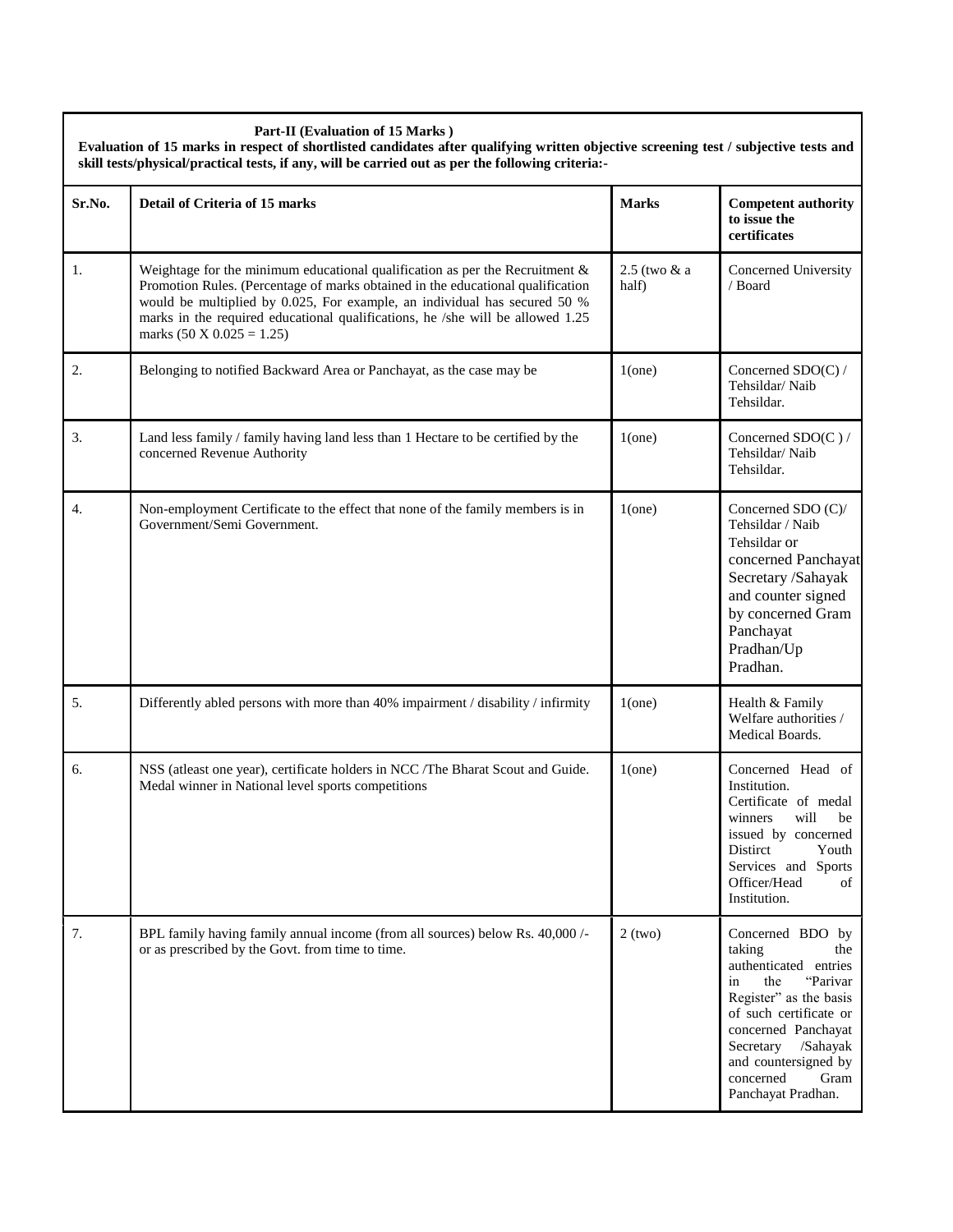#### **Part-II (Evaluation of 15 Marks )**

**Evaluation of 15 marks in respect of shortlisted candidates after qualifying written objective screening test / subjective tests and skill tests/physical/practical tests, if any, will be carried out as per the following criteria:-**

| Sr.No. | Detail of Criteria of 15 marks                                                                                                                                                                                                                                                                                                                                        | <b>Marks</b>          | <b>Competent authority</b><br>to issue the<br>certificates                                                                                                                                                                                                 |
|--------|-----------------------------------------------------------------------------------------------------------------------------------------------------------------------------------------------------------------------------------------------------------------------------------------------------------------------------------------------------------------------|-----------------------|------------------------------------------------------------------------------------------------------------------------------------------------------------------------------------------------------------------------------------------------------------|
| 1.     | Weightage for the minimum educational qualification as per the Recruitment $\&$<br>Promotion Rules. (Percentage of marks obtained in the educational qualification<br>would be multiplied by 0.025, For example, an individual has secured 50 %<br>marks in the required educational qualifications, he /she will be allowed 1.25<br>marks $(50 \times 0.025 = 1.25)$ | 2.5 (two & a<br>half) | Concerned University<br>/ Board                                                                                                                                                                                                                            |
| 2.     | Belonging to notified Backward Area or Panchayat, as the case may be                                                                                                                                                                                                                                                                                                  | $1$ (one)             | Concerned $SDO(C)$ /<br>Tehsildar/Naib<br>Tehsildar.                                                                                                                                                                                                       |
| 3.     | Land less family / family having land less than 1 Hectare to be certified by the<br>concerned Revenue Authority                                                                                                                                                                                                                                                       | $1$ (one)             | Concerned $SDO(C)$ /<br>Tehsildar/Naib<br>Tehsildar.                                                                                                                                                                                                       |
| 4.     | Non-employment Certificate to the effect that none of the family members is in<br>Government/Semi Government.                                                                                                                                                                                                                                                         | $1$ (one)             | Concerned SDO (C)/<br>Tehsildar / Naib<br>Tehsildar or<br>concerned Panchayat<br>Secretary /Sahayak<br>and counter signed<br>by concerned Gram<br>Panchayat<br>Pradhan/Up<br>Pradhan.                                                                      |
| 5.     | Differently abled persons with more than 40% impairment / disability / infirmity                                                                                                                                                                                                                                                                                      | $1$ (one)             | Health & Family<br>Welfare authorities /<br>Medical Boards.                                                                                                                                                                                                |
| 6.     | NSS (atleast one year), certificate holders in NCC /The Bharat Scout and Guide.<br>Medal winner in National level sports competitions                                                                                                                                                                                                                                 | $1$ (one)             | Concerned Head of<br>Institution.<br>Certificate of medal<br>winners<br>will<br>be<br>issued by concerned<br>Distirct<br>Youth<br>Services and Sports<br>Officer/Head<br>οf<br>Institution.                                                                |
| 7.     | BPL family having family annual income (from all sources) below Rs. 40,000/-<br>or as prescribed by the Govt. from time to time.                                                                                                                                                                                                                                      | $2$ (two)             | Concerned BDO by<br>taking<br>the<br>authenticated entries<br>"Parivar<br>in<br>the<br>Register" as the basis<br>of such certificate or<br>concerned Panchayat<br>Secretary<br>/Sahayak<br>and countersigned by<br>concerned<br>Gram<br>Panchayat Pradhan. |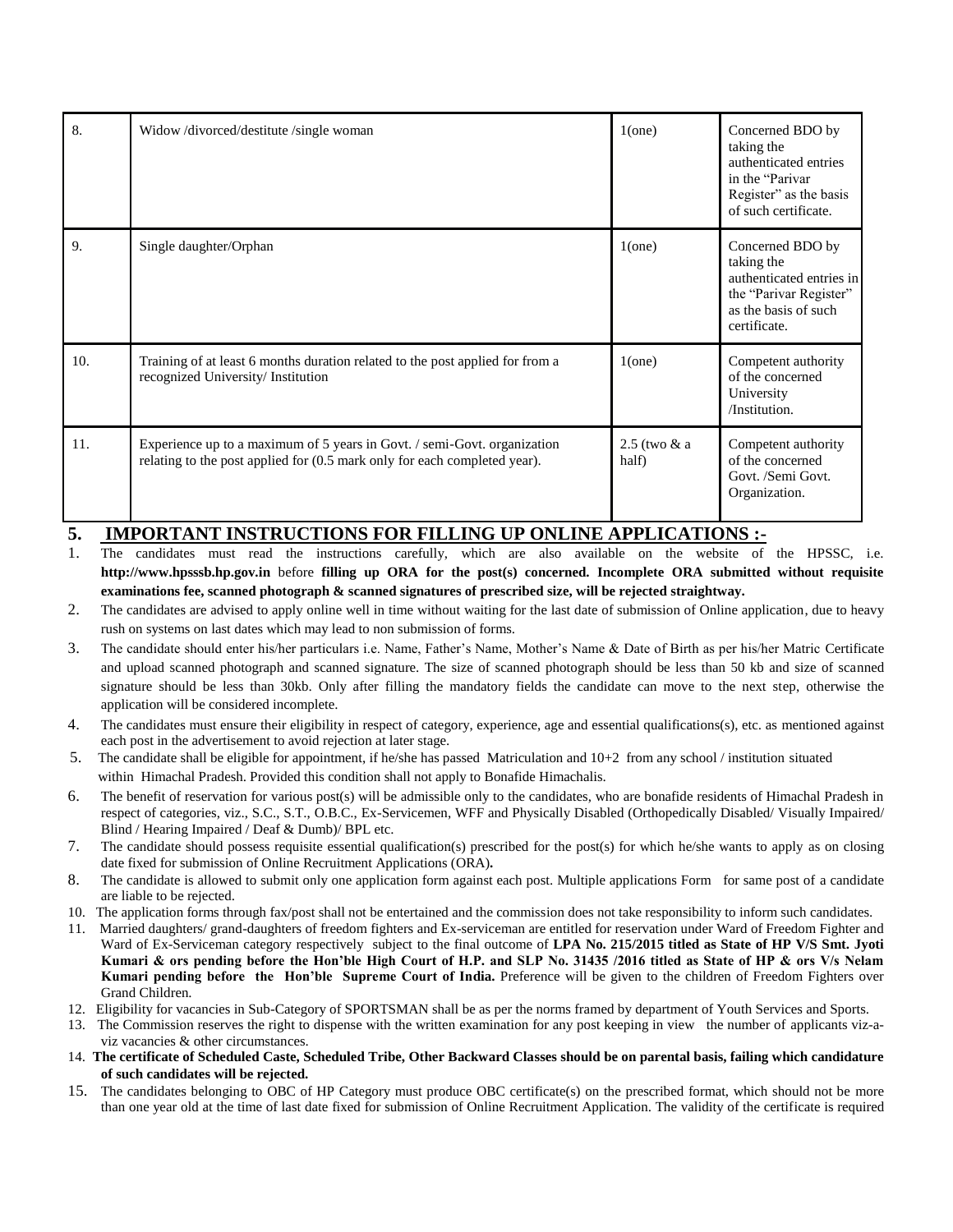| 8.  | Widow/divorced/destitute/single woman                                                                                                                 | $1$ (one)                 | Concerned BDO by<br>taking the<br>authenticated entries<br>in the "Parivar"<br>Register" as the basis<br>of such certificate. |
|-----|-------------------------------------------------------------------------------------------------------------------------------------------------------|---------------------------|-------------------------------------------------------------------------------------------------------------------------------|
| 9.  | Single daughter/Orphan                                                                                                                                | $1$ (one)                 | Concerned BDO by<br>taking the<br>authenticated entries in<br>the "Parivar Register"<br>as the basis of such<br>certificate.  |
| 10. | Training of at least 6 months duration related to the post applied for from a<br>recognized University/Institution                                    | $1$ (one)                 | Competent authority<br>of the concerned<br>University<br>/Institution.                                                        |
| 11. | Experience up to a maximum of 5 years in Govt. / semi-Govt. organization<br>relating to the post applied for (0.5 mark only for each completed year). | $2.5$ (two $&$ a<br>half) | Competent authority<br>of the concerned<br>Govt. /Semi Govt.<br>Organization.                                                 |

# **5. IMPORTANT INSTRUCTIONS FOR FILLING UP ONLINE APPLICATIONS :-**

- 1. The candidates must read the instructions carefully, which are also available on the website of the HPSSC, i.e. **http://www.hpsssb.hp.gov.in** before **filling up ORA for the post(s) concerned. Incomplete ORA submitted without requisite examinations fee, scanned photograph & scanned signatures of prescribed size, will be rejected straightway.**
- 2. The candidates are advised to apply online well in time without waiting for the last date of submission of Online application, due to heavy rush on systems on last dates which may lead to non submission of forms.
- 3. The candidate should enter his/her particulars i.e. Name, Father"s Name, Mother"s Name & Date of Birth as per his/her Matric Certificate and upload scanned photograph and scanned signature. The size of scanned photograph should be less than 50 kb and size of scanned signature should be less than 30kb. Only after filling the mandatory fields the candidate can move to the next step, otherwise the application will be considered incomplete.
- 4. The candidates must ensure their eligibility in respect of category, experience, age and essential qualifications(s), etc. as mentioned against each post in the advertisement to avoid rejection at later stage.
- 5. The candidate shall be eligible for appointment, if he/she has passed Matriculation and 10+2 from any school / institution situated within Himachal Pradesh. Provided this condition shall not apply to Bonafide Himachalis.
- 6. The benefit of reservation for various post(s) will be admissible only to the candidates, who are bonafide residents of Himachal Pradesh in respect of categories, viz., S.C., S.T., O.B.C., Ex-Servicemen, WFF and Physically Disabled (Orthopedically Disabled/ Visually Impaired/ Blind / Hearing Impaired / Deaf & Dumb)/ BPL etc.
- 7. The candidate should possess requisite essential qualification(s) prescribed for the post(s) for which he/she wants to apply as on closing date fixed for submission of Online Recruitment Applications (ORA)**.**
- 8. The candidate is allowed to submit only one application form against each post. Multiple applications Form for same post of a candidate are liable to be rejected.
- 10. The application forms through fax/post shall not be entertained and the commission does not take responsibility to inform such candidates.
- 11. Married daughters/ grand-daughters of freedom fighters and Ex-serviceman are entitled for reservation under Ward of Freedom Fighter and Ward of Ex-Serviceman category respectively subject to the final outcome of **LPA No. 215/2015 titled as State of HP V/S Smt. Jyoti Kumari & ors pending before the Hon'ble High Court of H.P. and SLP No. 31435 /2016 titled as State of HP & ors V/s Nelam Kumari pending before the Hon'ble Supreme Court of India.** Preference will be given to the children of Freedom Fighters over Grand Children.
- 12. Eligibility for vacancies in Sub-Category of SPORTSMAN shall be as per the norms framed by department of Youth Services and Sports.
- 13. The Commission reserves the right to dispense with the written examination for any post keeping in view the number of applicants viz-aviz vacancies & other circumstances.
- 14. **The certificate of Scheduled Caste, Scheduled Tribe, Other Backward Classes should be on parental basis, failing which candidature of such candidates will be rejected.**
- 15. The candidates belonging to OBC of HP Category must produce OBC certificate(s) on the prescribed format, which should not be more than one year old at the time of last date fixed for submission of Online Recruitment Application. The validity of the certificate is required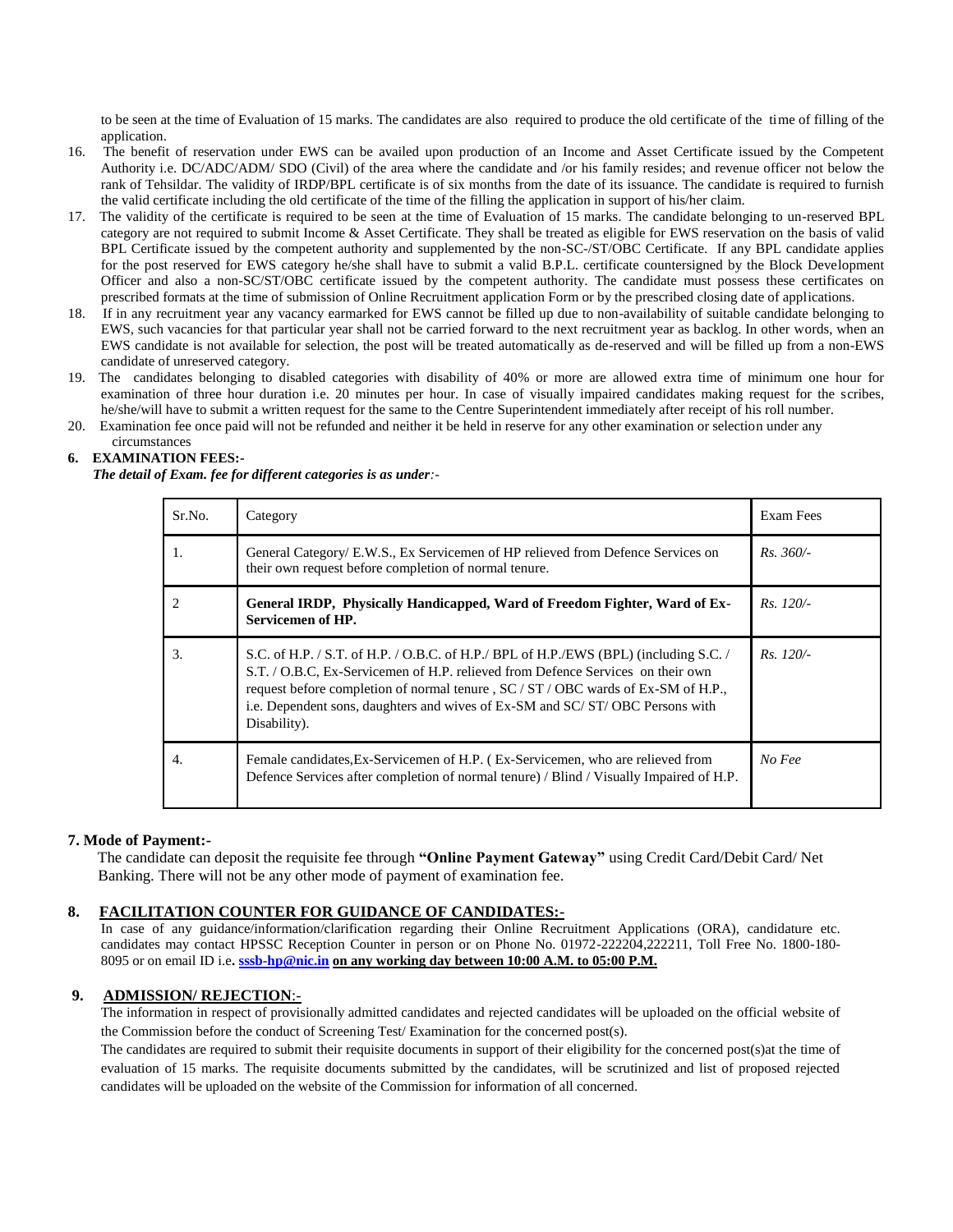to be seen at the time of Evaluation of 15 marks. The candidates are also required to produce the old certificate of the time of filling of the application.

- 16. The benefit of reservation under EWS can be availed upon production of an Income and Asset Certificate issued by the Competent Authority i.e. DC/ADC/ADM/ SDO (Civil) of the area where the candidate and /or his family resides; and revenue officer not below the rank of Tehsildar. The validity of IRDP/BPL certificate is of six months from the date of its issuance. The candidate is required to furnish the valid certificate including the old certificate of the time of the filling the application in support of his/her claim.
- 17. The validity of the certificate is required to be seen at the time of Evaluation of 15 marks. The candidate belonging to un-reserved BPL category are not required to submit Income & Asset Certificate. They shall be treated as eligible for EWS reservation on the basis of valid BPL Certificate issued by the competent authority and supplemented by the non-SC-/ST/OBC Certificate. If any BPL candidate applies for the post reserved for EWS category he/she shall have to submit a valid B.P.L. certificate countersigned by the Block Development Officer and also a non-SC/ST/OBC certificate issued by the competent authority. The candidate must possess these certificates on prescribed formats at the time of submission of Online Recruitment application Form or by the prescribed closing date of applications.
- 18. If in any recruitment year any vacancy earmarked for EWS cannot be filled up due to non-availability of suitable candidate belonging to EWS, such vacancies for that particular year shall not be carried forward to the next recruitment year as backlog. In other words, when an EWS candidate is not available for selection, the post will be treated automatically as de-reserved and will be filled up from a non-EWS candidate of unreserved category.
- 19. The candidates belonging to disabled categories with disability of 40% or more are allowed extra time of minimum one hour for examination of three hour duration i.e. 20 minutes per hour. In case of visually impaired candidates making request for the scribes, he/she/will have to submit a written request for the same to the Centre Superintendent immediately after receipt of his roll number.
- 20. Examination fee once paid will not be refunded and neither it be held in reserve for any other examination or selection under any

#### circumstances **6. EXAMINATION FEES:-**

 *The detail of Exam. fee for different categories is as under:-*

| Sr.No. | Category                                                                                                                                                                                                                                                                                                                                                          | Exam Fees   |
|--------|-------------------------------------------------------------------------------------------------------------------------------------------------------------------------------------------------------------------------------------------------------------------------------------------------------------------------------------------------------------------|-------------|
| 1.     | General Category/ E.W.S., Ex Servicemen of HP relieved from Defence Services on<br>their own request before completion of normal tenure.                                                                                                                                                                                                                          | $Rs. 360/-$ |
|        | General IRDP, Physically Handicapped, Ward of Freedom Fighter, Ward of Ex-<br><b>Servicemen of HP.</b>                                                                                                                                                                                                                                                            | $Rs. 120/-$ |
| 3.     | S.C. of H.P. / S.T. of H.P. / O.B.C. of H.P. / BPL of H.P. / EWS (BPL) (including S.C. /<br>S.T. / O.B.C. Ex-Servicemen of H.P. relieved from Defence Services on their own<br>request before completion of normal tenure , SC / ST / OBC wards of Ex-SM of H.P.,<br>i.e. Dependent sons, daughters and wives of Ex-SM and SC/ST/OBC Persons with<br>Disability). | $Rs. 120/-$ |
| 4.     | Female candidates, Ex-Servicemen of H.P. (Ex-Servicemen, who are relieved from<br>Defence Services after completion of normal tenure) / Blind / Visually Impaired of H.P.                                                                                                                                                                                         | No Fee      |

#### **7. Mode of Payment:-**

The candidate can deposit the requisite fee through **"Online Payment Gateway"** using Credit Card/Debit Card/ Net Banking. There will not be any other mode of payment of examination fee.

## **8. FACILITATION COUNTER FOR GUIDANCE OF CANDIDATES:-**

In case of any guidance/information/clarification regarding their Online Recruitment Applications (ORA), candidature etc. candidates may contact HPSSC Reception Counter in person or on Phone No. 01972-222204,222211, Toll Free No. 1800-180- 8095 or on email ID i.e[. sssb-hp@nic.in](mailto:sssb-hp@nic.in) on any working day between 10:00 A.M. to 05:00 P.M.

## **9. ADMISSION/ REJECTION**:-

The information in respect of provisionally admitted candidates and rejected candidates will be uploaded on the official website of the Commission before the conduct of Screening Test/ Examination for the concerned post(s).

The candidates are required to submit their requisite documents in support of their eligibility for the concerned post(s)at the time of evaluation of 15 marks. The requisite documents submitted by the candidates, will be scrutinized and list of proposed rejected candidates will be uploaded on the website of the Commission for information of all concerned.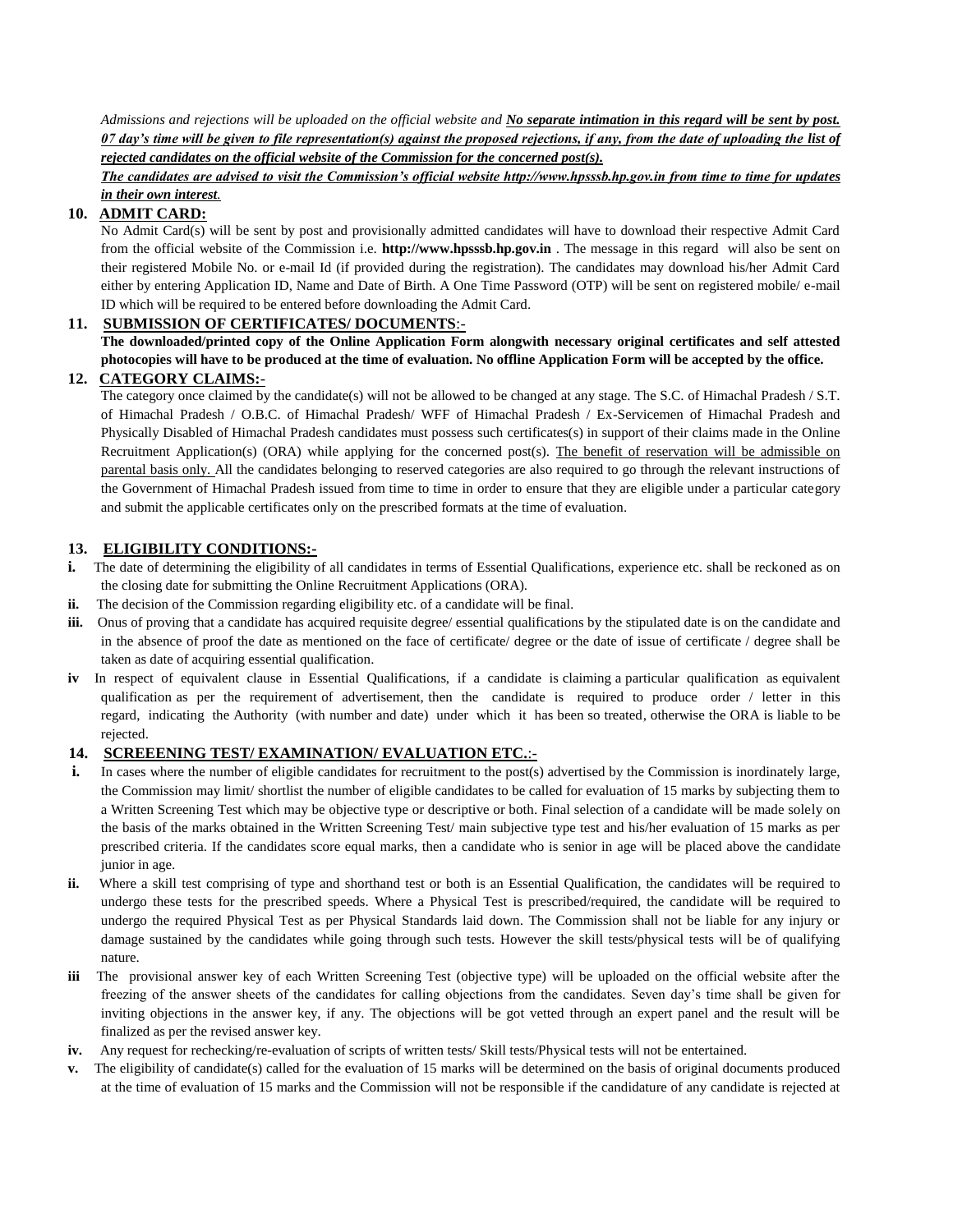*Admissions and rejections will be uploaded on the official website and No separate intimation in this regard will be sent by post. 07 day's time will be given to file representation(s) against the proposed rejections, if any, from the date of uploading the list of rejected candidates on the official website of the Commission for the concerned post(s).*

*The candidates are advised to visit the Commission's official website http://www.hpsssb.hp.gov.in from time to time for updates in their own interest.*

# **10. ADMIT CARD:**

No Admit Card(s) will be sent by post and provisionally admitted candidates will have to download their respective Admit Card from the official website of the Commission i.e. **http://www.hpsssb.hp.gov.in** . The message in this regard will also be sent on their registered Mobile No. or e-mail Id (if provided during the registration). The candidates may download his/her Admit Card either by entering Application ID, Name and Date of Birth. A One Time Password (OTP) will be sent on registered mobile/ e-mail ID which will be required to be entered before downloading the Admit Card.

# **11. SUBMISSION OF CERTIFICATES/ DOCUMENTS**:-

**The downloaded/printed copy of the Online Application Form alongwith necessary original certificates and self attested photocopies will have to be produced at the time of evaluation. No offline Application Form will be accepted by the office.**

# **12. CATEGORY CLAIMS:***-*

The category once claimed by the candidate(s) will not be allowed to be changed at any stage. The S.C. of Himachal Pradesh / S.T. of Himachal Pradesh / O.B.C. of Himachal Pradesh/ WFF of Himachal Pradesh / Ex-Servicemen of Himachal Pradesh and Physically Disabled of Himachal Pradesh candidates must possess such certificates(s) in support of their claims made in the Online Recruitment Application(s) (ORA) while applying for the concerned post(s). The benefit of reservation will be admissible on parental basis only. All the candidates belonging to reserved categories are also required to go through the relevant instructions of the Government of Himachal Pradesh issued from time to time in order to ensure that they are eligible under a particular category and submit the applicable certificates only on the prescribed formats at the time of evaluation.

# **13. ELIGIBILITY CONDITIONS:-**

- **i.** The date of determining the eligibility of all candidates in terms of Essential Qualifications, experience etc. shall be reckoned as on the closing date for submitting the Online Recruitment Applications (ORA).
- **ii.** The decision of the Commission regarding eligibility etc. of a candidate will be final.
- iii. Onus of proving that a candidate has acquired requisite degree/ essential qualifications by the stipulated date is on the candidate and in the absence of proof the date as mentioned on the face of certificate/ degree or the date of issue of certificate / degree shall be taken as date of acquiring essential qualification.
- **iv** In respect of equivalent clause in Essential Qualifications, if a candidate is claiming a particular qualification as equivalent qualification as per the requirement of advertisement, then the candidate is required to produce order / letter in this regard, indicating the Authority (with number and date) under which it has been so treated, otherwise the ORA is liable to be rejected.

## **14. SCREEENING TEST/ EXAMINATION/ EVALUATION ETC.**:-

- **i.** In cases where the number of eligible candidates for recruitment to the post(s) advertised by the Commission is inordinately large, the Commission may limit/ shortlist the number of eligible candidates to be called for evaluation of 15 marks by subjecting them to a Written Screening Test which may be objective type or descriptive or both. Final selection of a candidate will be made solely on the basis of the marks obtained in the Written Screening Test/ main subjective type test and his/her evaluation of 15 marks as per prescribed criteria. If the candidates score equal marks, then a candidate who is senior in age will be placed above the candidate junior in age.
- **ii.** Where a skill test comprising of type and shorthand test or both is an Essential Qualification, the candidates will be required to undergo these tests for the prescribed speeds. Where a Physical Test is prescribed/required, the candidate will be required to undergo the required Physical Test as per Physical Standards laid down. The Commission shall not be liable for any injury or damage sustained by the candidates while going through such tests. However the skill tests/physical tests will be of qualifying nature.
- **iii** The provisional answer key of each Written Screening Test (objective type) will be uploaded on the official website after the freezing of the answer sheets of the candidates for calling objections from the candidates. Seven day"s time shall be given for inviting objections in the answer key, if any. The objections will be got vetted through an expert panel and the result will be finalized as per the revised answer key.
- **iv.** Any request for rechecking/re-evaluation of scripts of written tests/ Skill tests/Physical tests will not be entertained.
- **v.** The eligibility of candidate(s) called for the evaluation of 15 marks will be determined on the basis of original documents produced at the time of evaluation of 15 marks and the Commission will not be responsible if the candidature of any candidate is rejected at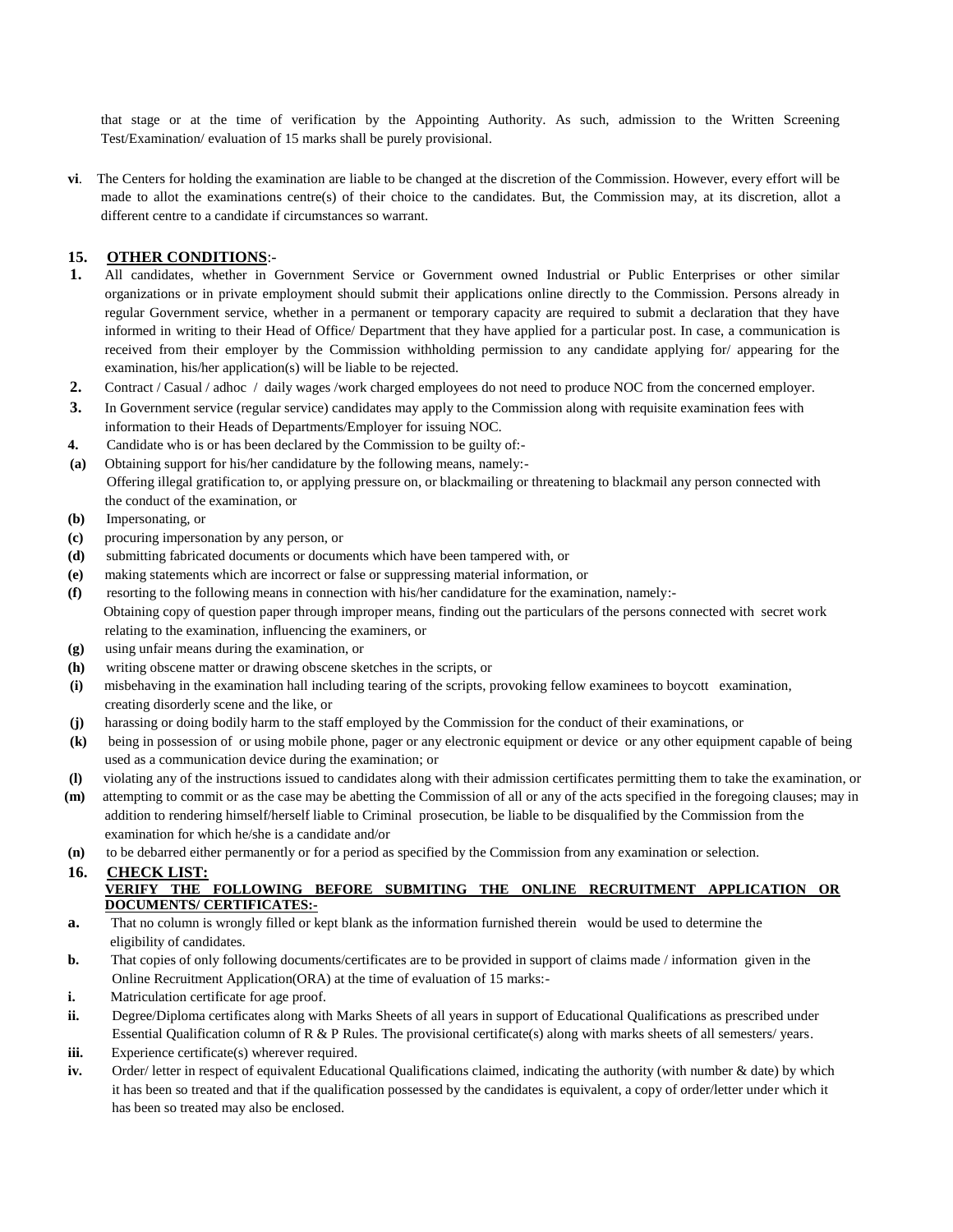that stage or at the time of verification by the Appointing Authority. As such, admission to the Written Screening Test/Examination/ evaluation of 15 marks shall be purely provisional.

**vi**. The Centers for holding the examination are liable to be changed at the discretion of the Commission. However, every effort will be made to allot the examinations centre(s) of their choice to the candidates. But, the Commission may, at its discretion, allot a different centre to a candidate if circumstances so warrant.

# **15. OTHER CONDITIONS**:-

- **1.** All candidates, whether in Government Service or Government owned Industrial or Public Enterprises or other similar organizations or in private employment should submit their applications online directly to the Commission. Persons already in regular Government service, whether in a permanent or temporary capacity are required to submit a declaration that they have informed in writing to their Head of Office/ Department that they have applied for a particular post. In case, a communication is received from their employer by the Commission withholding permission to any candidate applying for/ appearing for the examination, his/her application(s) will be liable to be rejected.
- **2.** Contract / Casual / adhoc / daily wages /work charged employees do not need to produce NOC from the concerned employer.
- **3.** In Government service (regular service) candidates may apply to the Commission along with requisite examination fees with information to their Heads of Departments/Employer for issuing NOC.
- **4.** Candidate who is or has been declared by the Commission to be guilty of:-
- **(a)** Obtaining support for his/her candidature by the following means, namely:- Offering illegal gratification to, or applying pressure on, or blackmailing or threatening to blackmail any person connected with the conduct of the examination, or
- **(b)** Impersonating, or
- **(c)** procuring impersonation by any person, or
- **(d)** submitting fabricated documents or documents which have been tampered with, or
- **(e)** making statements which are incorrect or false or suppressing material information, or
- **(f)** resorting to the following means in connection with his/her candidature for the examination, namely:- Obtaining copy of question paper through improper means, finding out the particulars of the persons connected with secret work relating to the examination, influencing the examiners, or
- **(g)** using unfair means during the examination, or
- **(h)** writing obscene matter or drawing obscene sketches in the scripts, or
- **(i)** misbehaving in the examination hall including tearing of the scripts, provoking fellow examinees to boycott examination, creating disorderly scene and the like, or
- **(j)** harassing or doing bodily harm to the staff employed by the Commission for the conduct of their examinations, or
- **(k)** being in possession of or using mobile phone, pager or any electronic equipment or device or any other equipment capable of being used as a communication device during the examination; or
- **(l)** violating any of the instructions issued to candidates along with their admission certificates permitting them to take the examination, or
- **(m)** attempting to commit or as the case may be abetting the Commission of all or any of the acts specified in the foregoing clauses; may in addition to rendering himself/herself liable to Criminal prosecution, be liable to be disqualified by the Commission from the examination for which he/she is a candidate and/or
- **(n)** to be debarred either permanently or for a period as specified by the Commission from any examination or selection.

**16. CHECK LIST:**

## **VERIFY THE FOLLOWING BEFORE SUBMITING THE ONLINE RECRUITMENT APPLICATION OR DOCUMENTS/ CERTIFICATES:-**

- **a.** That no column is wrongly filled or kept blank as the information furnished therein would be used to determine the eligibility of candidates.
- **b.** That copies of only following documents/certificates are to be provided in support of claims made / information given in the Online Recruitment Application(ORA) at the time of evaluation of 15 marks:-
- **i.** Matriculation certificate for age proof.
- **ii.** Degree/Diploma certificates along with Marks Sheets of all years in support of Educational Qualifications as prescribed under Essential Qualification column of R & P Rules. The provisional certificate(s) along with marks sheets of all semesters/ years.
- iii. Experience certificate(s) wherever required.
- **iv.** Order/ letter in respect of equivalent Educational Qualifications claimed, indicating the authority (with number & date) by which it has been so treated and that if the qualification possessed by the candidates is equivalent, a copy of order/letter under which it has been so treated may also be enclosed.